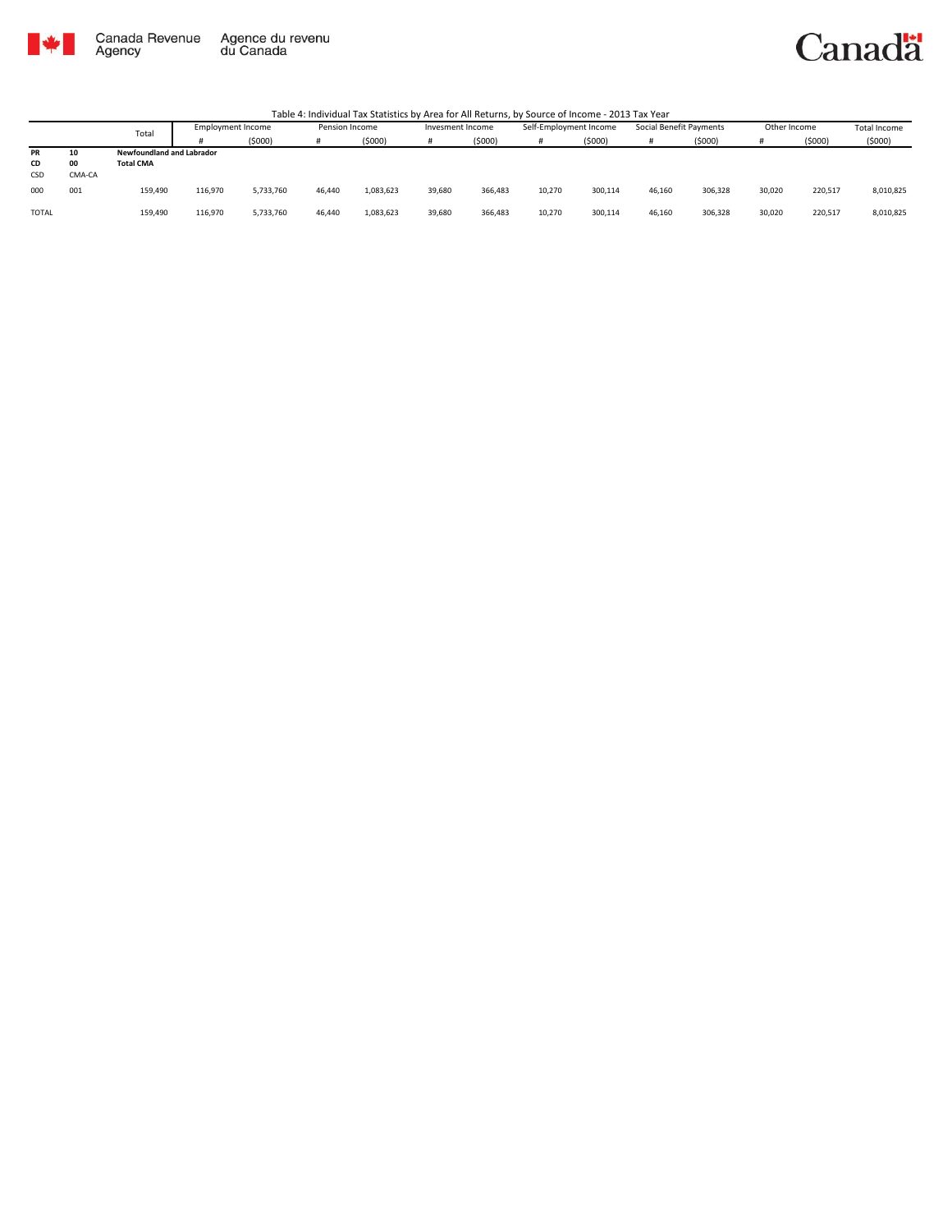

Canada Revenue<br>Agency Agence du revenu<br>du Canada

#### Canadä

|           |        | Total                            | Employment Income |           | Pension Income |           | Invesment Income |         | Self-Employment Income |         | Social Benefit Payments |         | Other Income |         | <b>Total Income</b> |
|-----------|--------|----------------------------------|-------------------|-----------|----------------|-----------|------------------|---------|------------------------|---------|-------------------------|---------|--------------|---------|---------------------|
|           |        |                                  |                   | (5000)    | Ħ              | (5000)    |                  | (\$000) |                        | (5000)  | Ħ                       | (5000)  |              | (5000)  | (5000)              |
| <b>PR</b> | 10     | <b>Newfoundland and Labrador</b> |                   |           |                |           |                  |         |                        |         |                         |         |              |         |                     |
| CD        | 00     | <b>Total CMA</b>                 |                   |           |                |           |                  |         |                        |         |                         |         |              |         |                     |
| CSD       | CMA-CA |                                  |                   |           |                |           |                  |         |                        |         |                         |         |              |         |                     |
| 000       | 001    | 159,490                          | 116.970           | 5,733,760 | 46.440         | 1,083,623 | 39,680           | 366,483 | 10,270                 | 300,114 | 46,160                  | 306,328 | 30,020       | 220,517 | 8,010,825           |
| TOTAL     |        | 159,490                          | 116.970           | 5,733,760 | 46.440         | 1,083,623 | 39,680           | 366,483 | 10,270                 | 300,114 | 46,160                  | 306,328 | 30,020       | 220,517 | 8,010,825           |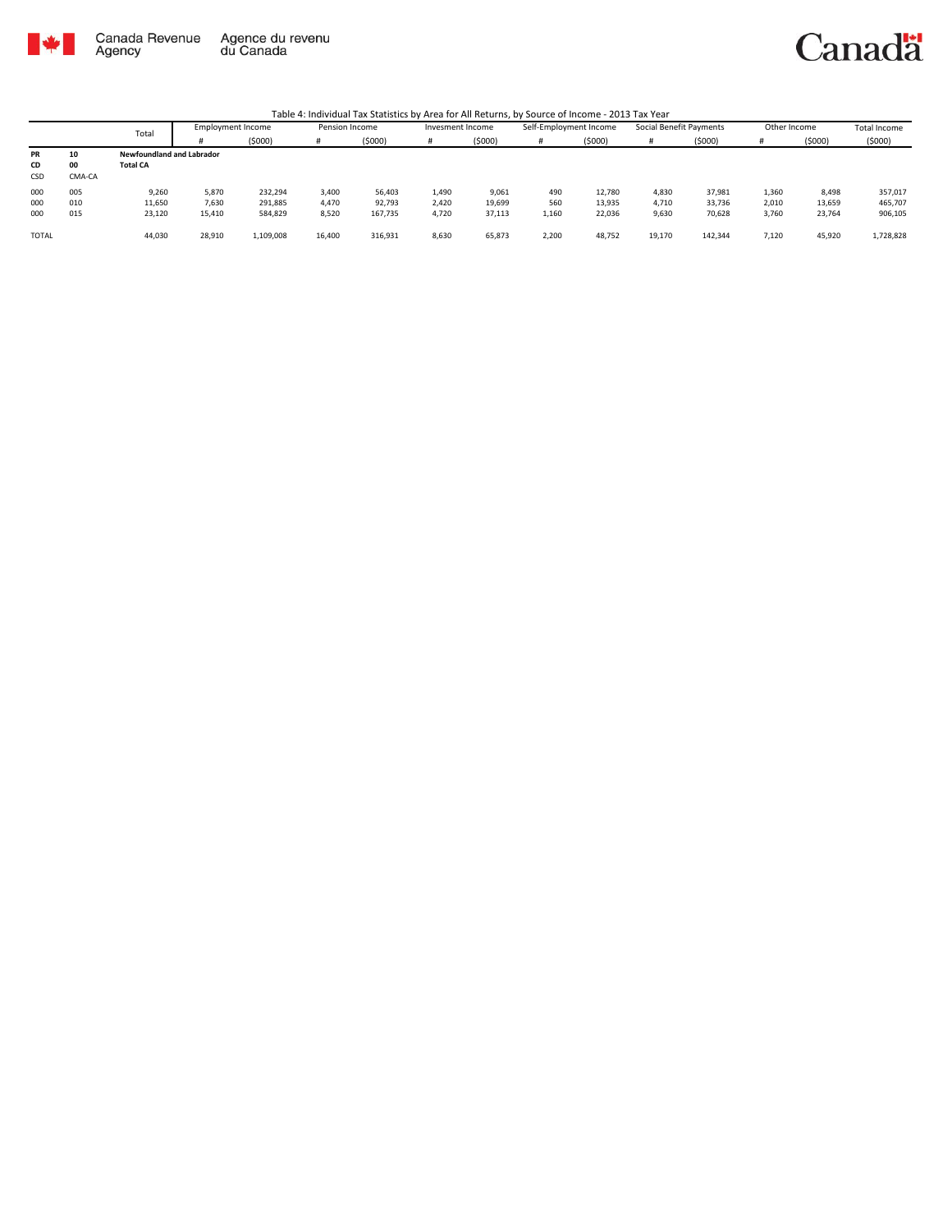

Canada Revenue<br>Agency Agence du revenu<br>du Canada Canadä

|              | Total  |                           | Employment Income |           | Pension Income |         | Invesment Income |        | Self-Employment Income |        | Social Benefit Payments |         | Other Income |        | <b>Total Income</b> |
|--------------|--------|---------------------------|-------------------|-----------|----------------|---------|------------------|--------|------------------------|--------|-------------------------|---------|--------------|--------|---------------------|
|              |        |                           |                   | (5000)    |                | (5000)  |                  | (5000) | #                      | (5000) |                         | (5000)  |              | (5000) | (5000)              |
| <b>PR</b>    | 10     | Newfoundland and Labrador |                   |           |                |         |                  |        |                        |        |                         |         |              |        |                     |
| CD           | 00     | <b>Total CA</b>           |                   |           |                |         |                  |        |                        |        |                         |         |              |        |                     |
| CSD          | CMA-CA |                           |                   |           |                |         |                  |        |                        |        |                         |         |              |        |                     |
| 000          | 005    | 9,260                     | 5,870             | 232,294   | 3,400          | 56,403  | 1,490            | 9,061  | 490                    | 12.780 | 4,830                   | 37,981  | 1,360        | 8,498  | 357,017             |
| 000          | 010    | 11,650                    | 7,630             | 291,885   | 4,470          | 92,793  | 2,420            | 19,699 | 560                    | 13,935 | 4,710                   | 33,736  | 2,010        | 13,659 | 465,707             |
| 000          | 015    | 23,120                    | 15,410            | 584,829   | 8,520          | 167,735 | 4,720            | 37,113 | 1,160                  | 22,036 | 9,630                   | 70,628  | 3,760        | 23,764 | 906,105             |
|              |        |                           |                   |           |                |         |                  |        |                        |        |                         |         |              |        |                     |
| <b>TOTAL</b> |        | 44,030                    | 28,910            | 1.109.008 | 16,400         | 316,931 | 8,630            | 65,873 | 2,200                  | 48,752 | 19,170                  | 142,344 | 7,120        | 45,920 | 1,728,828           |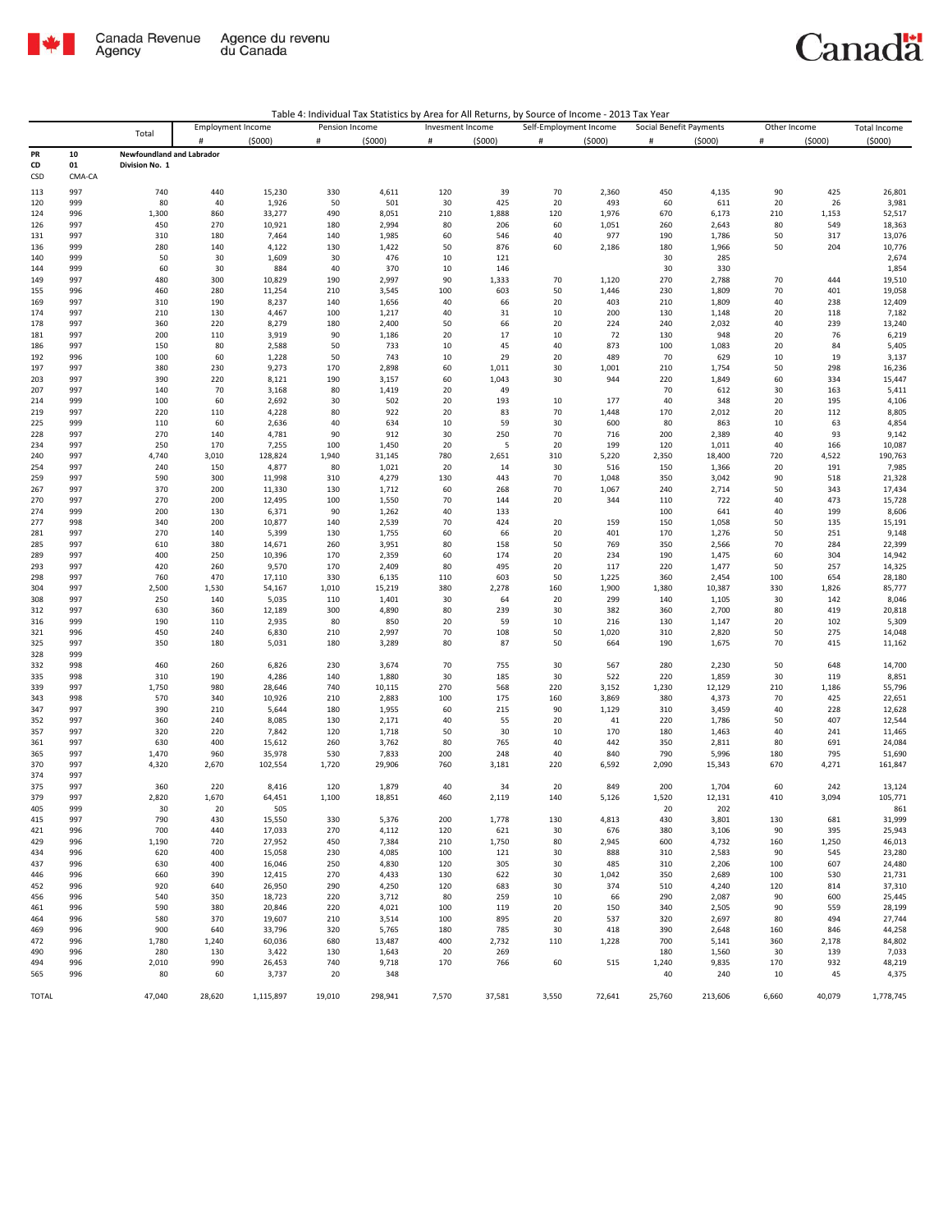

| Table 4: Individual Tax Statistics by Area for All Returns, by Source of Income - 2013 Tax Year |  |
|-------------------------------------------------------------------------------------------------|--|
|-------------------------------------------------------------------------------------------------|--|

|              |            | Total                     | <b>Employment Income</b> |                  | Pension Income |                | Invesment Income |            | Self-Employment Income |                | Social Benefit Payments |                | Other Income |            | Total Income     |
|--------------|------------|---------------------------|--------------------------|------------------|----------------|----------------|------------------|------------|------------------------|----------------|-------------------------|----------------|--------------|------------|------------------|
|              |            |                           | #                        | (5000)           | #              | (5000)         | #                | (5000)     | $\#$                   | (5000)         | $\#$                    | (5000)         | $\#$         | (5000)     | (5000)           |
| PR           | 10         | Newfoundland and Labrador |                          |                  |                |                |                  |            |                        |                |                         |                |              |            |                  |
| CD           | 01         | Division No. 1            |                          |                  |                |                |                  |            |                        |                |                         |                |              |            |                  |
| CSD          | CMA-CA     |                           |                          |                  |                |                |                  |            |                        |                |                         |                |              |            |                  |
| 113          | 997        | 740                       | 440                      | 15,230           | 330            | 4,611          | 120              | 39         | 70                     | 2,360          | 450                     | 4,135          | 90           | 425        | 26,801           |
| 120          | 999        | 80                        | 40                       | 1,926            | 50             | 501            | 30               | 425        | 20                     | 493            | 60                      | 611            | 20           | 26         | 3,981            |
| 124          | 996        | 1,300                     | 860                      | 33,277           | 490            | 8,051          | 210              | 1,888      | 120                    | 1,976          | 670                     | 6,173          | 210          | 1,153      | 52,517           |
| 126          | 997        | 450                       | 270                      | 10,921           | 180            | 2,994          | 80               | 206        | 60                     | 1,051          | 260                     | 2,643          | 80           | 549        | 18,363           |
| 131          | 997        | 310                       | 180                      | 7,464            | 140            | 1,985          | 60               | 546        | 40                     | 977            | 190                     | 1,786          | 50           | 317        | 13,076           |
| 136          | 999        | 280                       | 140                      | 4,122            | 130            | 1,422          | 50               | 876        | 60                     | 2,186          | 180                     | 1,966          | 50           | 204        | 10,776           |
| 140          | 999        | 50                        | 30                       | 1,609            | 30             | 476            | 10               | 121        |                        |                | 30                      | 285            |              |            | 2,674            |
| 144          | 999        | 60                        | 30                       | 884              | 40             | 370            | 10               | 146        |                        |                | 30                      | 330            |              |            | 1,854            |
| 149          | 997        | 480                       | 300                      | 10,829           | 190            | 2,997          | 90               | 1,333      | 70                     | 1,120          | 270                     | 2,788          | 70           | 444        | 19,510           |
| 155          | 996        | 460                       | 280                      | 11,254           | 210            | 3,545          | 100              | 603        | 50                     | 1,446          | 230                     | 1,809          | 70           | 401        | 19,058           |
| 169          | 997        | 310                       | 190                      | 8,237            | 140            | 1,656          | 40               | 66         | 20                     | 403            | 210                     | 1,809          | 40           | 238        | 12,409           |
| 174          | 997        | 210                       | 130                      | 4,467<br>8,279   | 100            | 1,217          | 40               | 31         | 10                     | 200            | 130                     | 1,148          | 20           | 118        | 7,182            |
| 178<br>181   | 997<br>997 | 360<br>200                | 220<br>110               | 3,919            | 180<br>90      | 2,400<br>1,186 | 50<br>20         | 66<br>17   | 20<br>10               | 224<br>72      | 240<br>130              | 2,032<br>948   | 40<br>20     | 239<br>76  | 13,240<br>6,219  |
| 186          | 997        | 150                       | 80                       | 2,588            | 50             | 733            | 10               | 45         | 40                     | 873            | 100                     | 1,083          | 20           | 84         | 5,405            |
| 192          | 996        | 100                       | 60                       | 1,228            | 50             | 743            | 10               | 29         | 20                     | 489            | 70                      | 629            | 10           | 19         | 3,137            |
| 197          | 997        | 380                       | 230                      | 9,273            | 170            | 2,898          | 60               | 1,011      | 30                     | 1,001          | 210                     | 1,754          | 50           | 298        | 16,236           |
| 203          | 997        | 390                       | 220                      | 8,121            | 190            | 3,157          | 60               | 1,043      | 30                     | 944            | 220                     | 1,849          | 60           | 334        | 15,447           |
| 207          | 997        | 140                       | 70                       | 3,168            | 80             | 1,419          | 20               | 49         |                        |                | 70                      | 612            | 30           | 163        | 5,411            |
| 214          | 999        | 100                       | 60                       | 2,692            | 30             | 502            | 20               | 193        | 10                     | 177            | 40                      | 348            | 20           | 195        | 4,106            |
| 219          | 997        | 220                       | 110                      | 4,228            | 80             | 922            | 20               | 83         | 70                     | 1,448          | 170                     | 2,012          | 20           | 112        | 8,805            |
| 225          | 999        | 110                       | 60                       | 2,636            | 40             | 634            | 10               | 59         | 30                     | 600            | 80                      | 863            | 10           | 63         | 4,854            |
| 228          | 997        | 270                       | 140                      | 4,781            | 90             | 912            | 30               | 250        | 70                     | 716            | 200                     | 2,389          | 40           | 93         | 9,142            |
| 234          | 997        | 250                       | 170                      | 7,255            | 100            | 1,450          | 20               | 5          | 20                     | 199            | 120                     | 1,011          | 40           | 166        | 10,087           |
| 240          | 997        | 4,740                     | 3,010                    | 128,824          | 1,940          | 31,145         | 780              | 2,651      | 310                    | 5,220          | 2,350                   | 18,400         | 720          | 4,522      | 190,763          |
| 254          | 997        | 240                       | 150                      | 4,877            | 80             | 1,021          | 20               | 14         | 30                     | 516            | 150                     | 1,366          | 20           | 191        | 7,985            |
| 259          | 997        | 590                       | 300                      | 11,998           | 310            | 4,279          | 130              | 443        | 70                     | 1,048          | 350                     | 3,042          | 90           | 518        | 21,328           |
| 267          | 997        | 370                       | 200                      | 11,330           | 130            | 1,712          | 60               | 268        | 70                     | 1,067          | 240                     | 2,714          | 50           | 343        | 17,434           |
| 270          | 997        | 270                       | 200                      | 12,495           | 100            | 1,550          | 70               | 144        | 20                     | 344            | 110                     | 722            | 40           | 473        | 15,728<br>8,606  |
| 274<br>277   | 999<br>998 | 200<br>340                | 130<br>200               | 6,371<br>10,877  | 90<br>140      | 1,262<br>2,539 | 40<br>70         | 133<br>424 | 20                     | 159            | 100<br>150              | 641<br>1,058   | 40<br>50     | 199<br>135 | 15,191           |
| 281          | 997        | 270                       | 140                      | 5,399            | 130            | 1,755          | 60               | 66         | 20                     | 401            | 170                     | 1,276          | 50           | 251        | 9,148            |
| 285          | 997        | 610                       | 380                      | 14,671           | 260            | 3,951          | 80               | 158        | 50                     | 769            | 350                     | 2,566          | 70           | 284        | 22,399           |
| 289          | 997        | 400                       | 250                      | 10,396           | 170            | 2,359          | 60               | 174        | 20                     | 234            | 190                     | 1,475          | 60           | 304        | 14,942           |
| 293          | 997        | 420                       | 260                      | 9,570            | 170            | 2,409          | 80               | 495        | 20                     | 117            | 220                     | 1,477          | 50           | 257        | 14,325           |
| 298          | 997        | 760                       | 470                      | 17,110           | 330            | 6,135          | 110              | 603        | 50                     | 1,225          | 360                     | 2,454          | 100          | 654        | 28,180           |
| 304          | 997        | 2,500                     | 1,530                    | 54,167           | 1,010          | 15,219         | 380              | 2,278      | 160                    | 1,900          | 1,380                   | 10,387         | 330          | 1,826      | 85,777           |
| 308          | 997        | 250                       | 140                      | 5,035            | 110            | 1,401          | 30               | 64         | 20                     | 299            | 140                     | 1,105          | 30           | 142        | 8,046            |
| 312          | 997        | 630                       | 360                      | 12,189           | 300            | 4,890          | 80               | 239        | 30                     | 382            | 360                     | 2,700          | 80           | 419        | 20,818           |
| 316          | 999        | 190                       | 110                      | 2,935            | 80             | 850            | 20               | 59         | 10                     | 216            | 130                     | 1,147          | 20           | 102        | 5,309            |
| 321          | 996        | 450                       | 240                      | 6,830            | 210            | 2,997          | 70               | 108        | 50                     | 1,020          | 310                     | 2,820          | 50           | 275        | 14,048           |
| 325          | 997        | 350                       | 180                      | 5,031            | 180            | 3,289          | 80               | 87         | 50                     | 664            | 190                     | 1,675          | 70           | 415        | 11,162           |
| 328          | 999        |                           |                          |                  |                |                |                  |            |                        |                |                         |                |              |            |                  |
| 332          | 998        | 460                       | 260                      | 6,826            | 230            | 3,674          | 70               | 755        | 30                     | 567            | 280                     | 2,230          | 50           | 648        | 14,700           |
| 335          | 998        | 310                       | 190                      | 4,286            | 140            | 1,880          | 30               | 185        | 30                     | 522            | 220                     | 1,859          | 30           | 119        | 8,851            |
| 339<br>343   | 997        | 1,750                     | 980                      | 28,646           | 740            | 10,115         | 270              | 568<br>175 | 220                    | 3,152          | 1,230                   | 12,129         | 210          | 1,186      | 55,796           |
| 347          | 998<br>997 | 570<br>390                | 340<br>210               | 10,926<br>5,644  | 210<br>180     | 2,883<br>1,955 | 100<br>60        | 215        | 160<br>90              | 3,869<br>1,129 | 380<br>310              | 4,373<br>3,459 | 70<br>40     | 425<br>228 | 22,651<br>12,628 |
| 352          | 997        | 360                       | 240                      | 8,085            | 130            | 2,171          | 40               | 55         | 20                     | 41             | 220                     | 1,786          | 50           | 407        | 12,544           |
| 357          | 997        | 320                       | 220                      | 7,842            | 120            | 1,718          | 50               | 30         | 10                     | 170            | 180                     | 1,463          | 40           | 241        | 11,465           |
| 361          | 997        | 630                       | 400                      | 15,612           | 260            | 3,762          | 80               | 765        | 40                     | 442            | 350                     | 2,811          | 80           | 691        | 24,084           |
| 365          | 997        | 1,470                     | 960                      | 35,978           | 530            | 7,833          | 200              | 248        | 40                     | 840            | 790                     | 5,996          | 180          | 795        | 51,690           |
| 370          | 997        | 4,320                     | 2,670                    | 102,554          | 1,720          | 29,906         | 760              | 3,181      | 220                    | 6,592          | 2,090                   | 15,343         | 670          | 4,271      | 161,847          |
| 374          | 997        |                           |                          |                  |                |                |                  |            |                        |                |                         |                |              |            |                  |
| 375          | 997        | 360                       | 220                      | 8,416            | 120            | 1,879          | 40               | 34         | 20                     | 849            | 200                     | 1,704          | 60           | 242        | 13,124           |
| 379          | 997        | 2,820                     | 1,670                    | 64,451           | 1,100          | 18,851         | 460              | 2,119      | 140                    | 5,126          | 1,520                   | 12,131         | 410          | 3,094      | 105,771          |
| 405          | 999        | 30                        | 20                       | 505              |                |                |                  |            |                        |                | 20                      | 202            |              |            | 861              |
| 415          | 997        | 790                       | 430                      | 15,550           | 330            | 5,376          | 200              | 1,778      | 130                    | 4,813          | 430                     | 3,801          | 130          | 681        | 31,999           |
| 421          | 996        | 700                       | 440                      | 17,033           | 270            | 4,112          | 120              | 621        | 30                     | 676            | 380                     | 3,106          | 90           | 395        | 25,943           |
| 429          | 996        | 1,190                     | 720                      | 27,952           | 450            | 7,384          | 210              | 1,750      | 80                     | 2,945          | 600                     | 4,732          | 160          | 1,250      | 46,013           |
| 434          | 996        | 620                       | 400                      | 15,058           | 230            | 4,085          | 100              | 121        | 30                     | 888            | 310                     | 2,583          | 90           | 545        | 23,280           |
| 437          | 996        | 630                       | 400                      | 16,046           | 250            | 4,830          | 120              | 305        | 30                     | 485            | 310                     | 2,206          | 100          | 607        | 24,480           |
| 446<br>452   | 996<br>996 | 660<br>920                | 390<br>640               | 12,415           | 270<br>290     | 4,433          | 130<br>120       | 622        | 30<br>30               | 1,042<br>374   | 350                     | 2,689          | 100<br>120   | 530<br>814 | 21,731<br>37,310 |
| 456          | 996        | 540                       | 350                      | 26,950<br>18,723 | 220            | 4,250<br>3,712 | 80               | 683<br>259 | 10                     | 66             | 510<br>290              | 4,240<br>2,087 | 90           | 600        | 25,445           |
| 461          | 996        | 590                       | 380                      | 20,846           | 220            | 4,021          | 100              | 119        | 20                     | 150            | 340                     | 2,505          | 90           | 559        | 28,199           |
| 464          | 996        | 580                       | 370                      | 19,607           | 210            | 3,514          | 100              | 895        | 20                     | 537            | 320                     | 2,697          | 80           | 494        | 27,744           |
| 469          | 996        | 900                       | 640                      | 33,796           | 320            | 5,765          | 180              | 785        | 30                     | 418            | 390                     | 2,648          | 160          | 846        | 44,258           |
| 472          | 996        | 1,780                     | 1,240                    | 60,036           | 680            | 13,487         | 400              | 2,732      | 110                    | 1,228          | 700                     | 5,141          | 360          | 2,178      | 84,802           |
| 490          | 996        | 280                       | 130                      | 3,422            | 130            | 1,643          | 20               | 269        |                        |                | 180                     | 1,560          | 30           | 139        | 7,033            |
| 494          | 996        | 2,010                     | 990                      | 26,453           | 740            | 9,718          | 170              | 766        | 60                     | 515            | 1,240                   | 9,835          | 170          | 932        | 48,219           |
| 565          | 996        | 80                        | 60                       | 3,737            | 20             | 348            |                  |            |                        |                | 40                      | 240            | 10           | 45         | 4,375            |
|              |            |                           |                          |                  |                |                |                  |            |                        |                |                         |                |              |            |                  |
| <b>TOTAL</b> |            | 47,040                    | 28,620                   | 1,115,897        | 19,010         | 298,941        | 7,570            | 37,581     | 3,550                  | 72,641         | 25,760                  | 213.606        | 6,660        | 40,079     | 1,778,745        |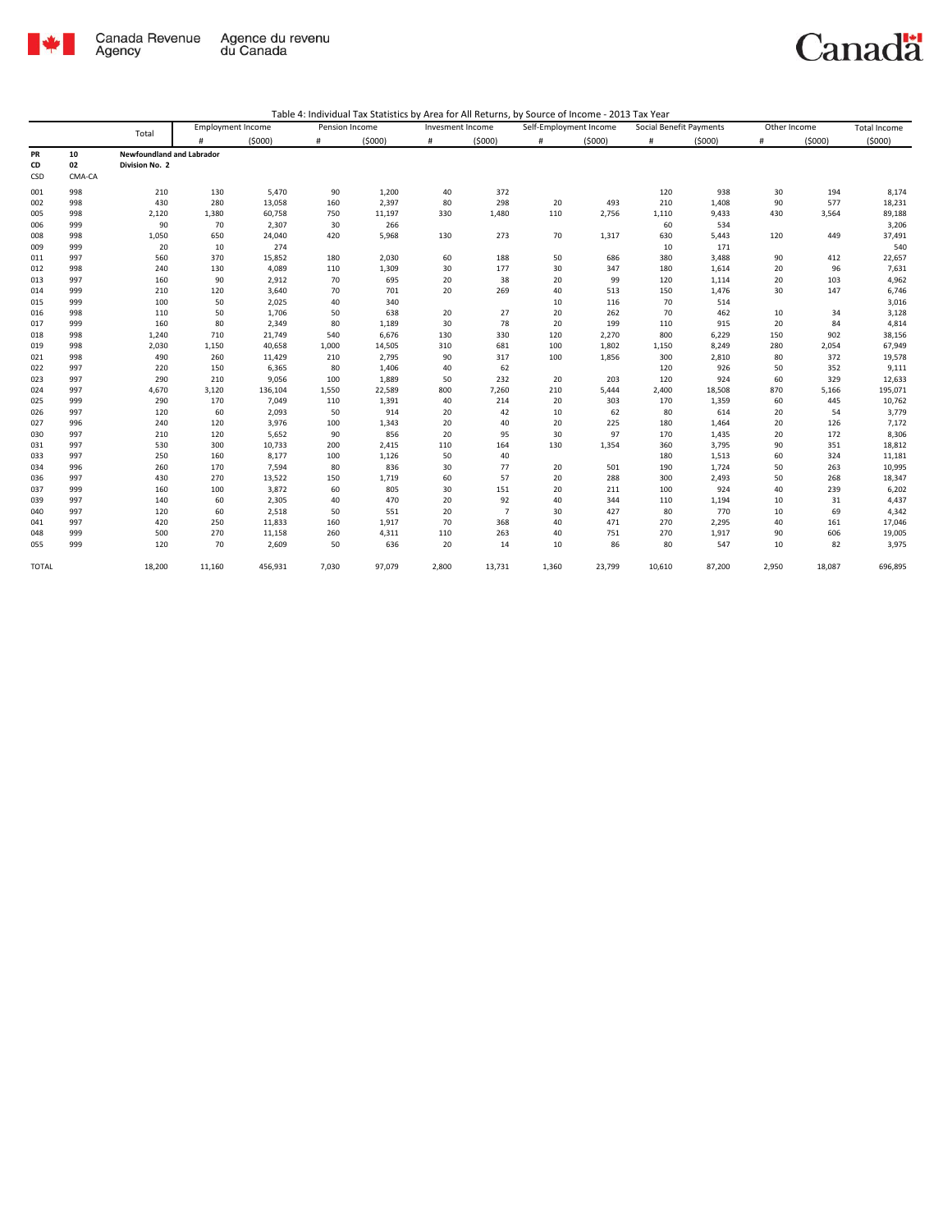

|              |        |                                  | <b>Employment Income</b> |         | Pension Income |        | Invesment Income |                | Self-Employment Income |        | Social Benefit Payments |        | Other Income |        | <b>Total Income</b> |
|--------------|--------|----------------------------------|--------------------------|---------|----------------|--------|------------------|----------------|------------------------|--------|-------------------------|--------|--------------|--------|---------------------|
|              |        | Total                            | #                        | (5000)  | #              | (5000) | #                | (5000)         | #                      | (5000) | #                       | (5000) | #            | (5000) | (5000)              |
| PR           | 10     | <b>Newfoundland and Labrador</b> |                          |         |                |        |                  |                |                        |        |                         |        |              |        |                     |
| CD           | 02     | Division No. 2                   |                          |         |                |        |                  |                |                        |        |                         |        |              |        |                     |
| CSD          | CMA-CA |                                  |                          |         |                |        |                  |                |                        |        |                         |        |              |        |                     |
| 001          | 998    | 210                              | 130                      | 5,470   | 90             | 1,200  | 40               | 372            |                        |        | 120                     | 938    | 30           | 194    | 8,174               |
| 002          | 998    | 430                              | 280                      | 13,058  | 160            | 2,397  | 80               | 298            | 20                     | 493    | 210                     | 1,408  | 90           | 577    | 18,231              |
| 005          | 998    | 2,120                            | 1,380                    | 60,758  | 750            | 11,197 | 330              | 1,480          | 110                    | 2,756  | 1,110                   | 9,433  | 430          | 3,564  | 89,188              |
| 006          | 999    | 90                               | 70                       | 2,307   | 30             | 266    |                  |                |                        |        | 60                      | 534    |              |        | 3,206               |
| 008          | 998    | 1,050                            | 650                      | 24,040  | 420            | 5,968  | 130              | 273            | 70                     | 1,317  | 630                     | 5,443  | 120          | 449    | 37,491              |
| 009          | 999    | 20                               | 10                       | 274     |                |        |                  |                |                        |        | 10                      | 171    |              |        | 540                 |
| 011          | 997    | 560                              | 370                      | 15,852  | 180            | 2,030  | 60               | 188            | 50                     | 686    | 380                     | 3,488  | 90           | 412    | 22,657              |
| 012          | 998    | 240                              | 130                      | 4,089   | 110            | 1,309  | 30               | 177            | 30                     | 347    | 180                     | 1,614  | 20           | 96     | 7,631               |
| 013          | 997    | 160                              | 90                       | 2,912   | 70             | 695    | 20               | 38             | 20                     | 99     | 120                     | 1,114  | 20           | 103    | 4,962               |
| 014          | 999    | 210                              | 120                      | 3,640   | 70             | 701    | 20               | 269            | 40                     | 513    | 150                     | 1,476  | 30           | 147    | 6,746               |
| 015          | 999    | 100                              | 50                       | 2,025   | 40             | 340    |                  |                | 10                     | 116    | 70                      | 514    |              |        | 3,016               |
| 016          | 998    | 110                              | 50                       | 1,706   | 50             | 638    | 20               | 27             | 20                     | 262    | 70                      | 462    | 10           | 34     | 3,128               |
| 017          | 999    | 160                              | 80                       | 2,349   | 80             | 1,189  | 30               | 78             | 20                     | 199    | 110                     | 915    | 20           | 84     | 4,814               |
| 018          | 998    | 1,240                            | 710                      | 21,749  | 540            | 6,676  | 130              | 330            | 120                    | 2,270  | 800                     | 6,229  | 150          | 902    | 38,156              |
| 019          | 998    | 2,030                            | 1,150                    | 40,658  | 1,000          | 14,505 | 310              | 681            | 100                    | 1,802  | 1,150                   | 8,249  | 280          | 2,054  | 67,949              |
| 021          | 998    | 490                              | 260                      | 11,429  | 210            | 2,795  | 90               | 317            | 100                    | 1,856  | 300                     | 2,810  | 80           | 372    | 19,578              |
| 022          | 997    | 220                              | 150                      | 6,365   | 80             | 1,406  | 40               | 62             |                        |        | 120                     | 926    | 50           | 352    | 9,111               |
| 023          | 997    | 290                              | 210                      | 9,056   | 100            | 1,889  | 50               | 232            | 20                     | 203    | 120                     | 924    | 60           | 329    | 12,633              |
| 024          | 997    | 4,670                            | 3,120                    | 136,104 | 1,550          | 22,589 | 800              | 7,260          | 210                    | 5,444  | 2,400                   | 18,508 | 870          | 5,166  | 195,071             |
| 025          | 999    | 290                              | 170                      | 7,049   | 110            | 1,391  | 40               | 214            | 20                     | 303    | 170                     | 1,359  | 60           | 445    | 10,762              |
| 026          | 997    | 120                              | 60                       | 2,093   | 50             | 914    | 20               | 42             | 10                     | 62     | 80                      | 614    | 20           | 54     | 3,779               |
| 027          | 996    | 240                              | 120                      | 3,976   | 100            | 1,343  | 20               | 40             | 20                     | 225    | 180                     | 1,464  | 20           | 126    | 7,172               |
| 030          | 997    | 210                              | 120                      | 5,652   | 90             | 856    | 20               | 95             | 30                     | 97     | 170                     | 1,435  | 20           | 172    | 8,306               |
| 031          | 997    | 530                              | 300                      | 10,733  | 200            | 2,415  | 110              | 164            | 130                    | 1,354  | 360                     | 3,795  | 90           | 351    | 18,812              |
| 033          | 997    | 250                              | 160                      | 8,177   | 100            | 1,126  | 50               | 40             |                        |        | 180                     | 1,513  | 60           | 324    | 11,181              |
| 034          | 996    | 260                              | 170                      | 7,594   | 80             | 836    | 30               | 77             | 20                     | 501    | 190                     | 1,724  | 50           | 263    | 10,995              |
| 036          | 997    | 430                              | 270                      | 13,522  | 150            | 1,719  | 60               | 57             | 20                     | 288    | 300                     | 2,493  | 50           | 268    | 18,347              |
| 037          | 999    | 160                              | 100                      | 3,872   | 60             | 805    | 30               | 151            | 20                     | 211    | 100                     | 924    | 40           | 239    | 6,202               |
| 039          | 997    | 140                              | 60                       | 2,305   | 40             | 470    | 20               | 92             | 40                     | 344    | 110                     | 1,194  | 10           | 31     | 4,437               |
| 040          | 997    | 120                              | 60                       | 2,518   | 50             | 551    | 20               | $\overline{7}$ | 30                     | 427    | 80                      | 770    | 10           | 69     | 4,342               |
| 041          | 997    | 420                              | 250                      | 11,833  | 160            | 1,917  | 70               | 368            | 40                     | 471    | 270                     | 2,295  | 40           | 161    | 17,046              |
| 048          | 999    | 500                              | 270                      | 11,158  | 260            | 4,311  | 110              | 263            | 40                     | 751    | 270                     | 1,917  | 90           | 606    | 19,005              |
| 055          | 999    | 120                              | 70                       | 2,609   | 50             | 636    | 20               | 14             | 10                     | 86     | 80                      | 547    | 10           | 82     | 3,975               |
| <b>TOTAL</b> |        | 18,200                           | 11,160                   | 456,931 | 7,030          | 97,079 | 2,800            | 13,731         | 1,360                  | 23,799 | 10,610                  | 87,200 | 2,950        | 18,087 | 696,895             |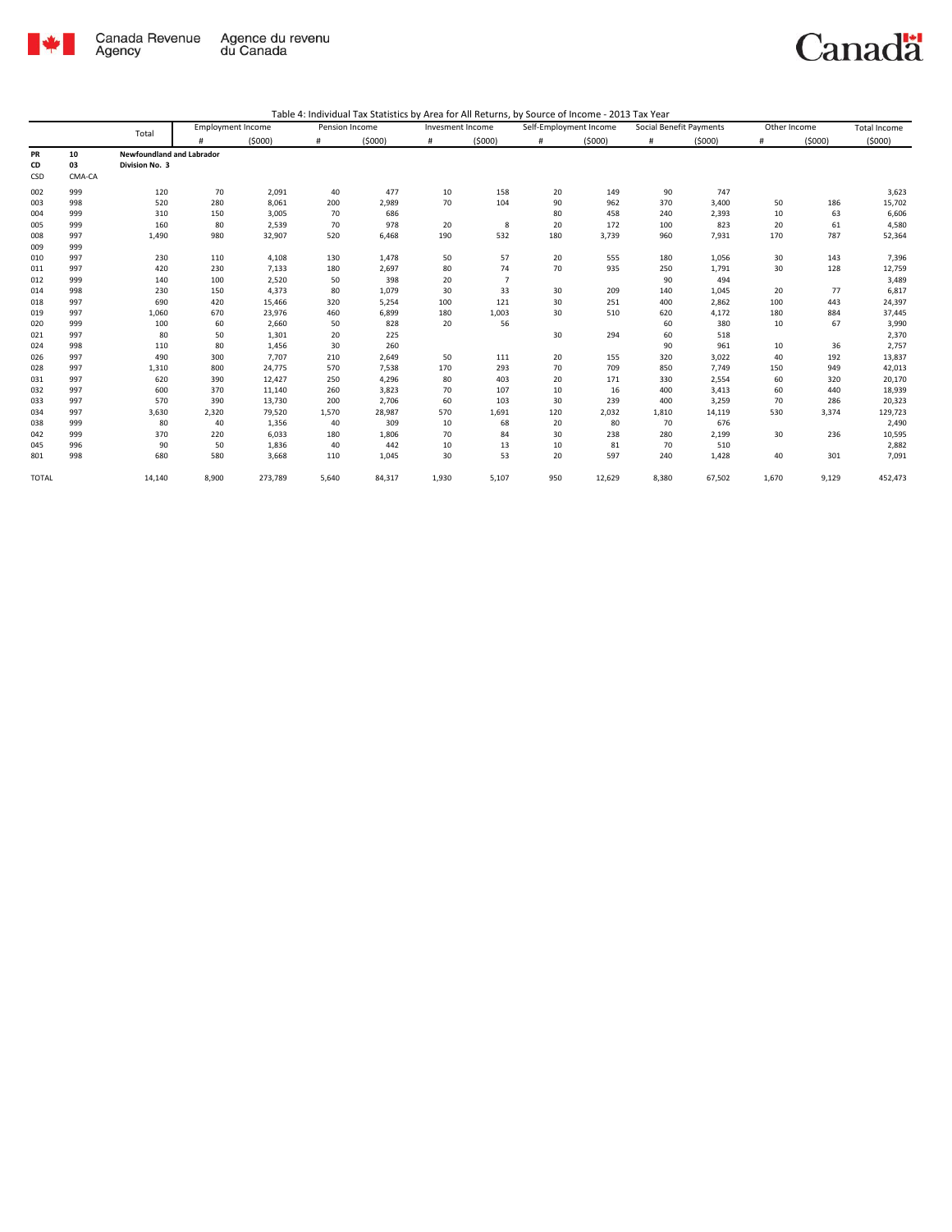

|              |        | Total                            |       | <b>Employment Income</b> | Pension Income |        | Invesment Income |                |     | Self-Employment Income | Social Benefit Payments |        | Other Income |        | Total Income |
|--------------|--------|----------------------------------|-------|--------------------------|----------------|--------|------------------|----------------|-----|------------------------|-------------------------|--------|--------------|--------|--------------|
|              |        |                                  | #     | (5000)                   | #              | (5000) | #                | (5000)         | #   | (5000)                 | #                       | (5000) | #            | (5000) | (5000)       |
| <b>PR</b>    | 10     | <b>Newfoundland and Labrador</b> |       |                          |                |        |                  |                |     |                        |                         |        |              |        |              |
| CD           | 03     | Division No. 3                   |       |                          |                |        |                  |                |     |                        |                         |        |              |        |              |
| CSD          | CMA-CA |                                  |       |                          |                |        |                  |                |     |                        |                         |        |              |        |              |
| 002          | 999    | 120                              | 70    | 2,091                    | 40             | 477    | 10               | 158            | 20  | 149                    | 90                      | 747    |              |        | 3,623        |
| 003          | 998    | 520                              | 280   | 8,061                    | 200            | 2,989  | 70               | 104            | 90  | 962                    | 370                     | 3,400  | 50           | 186    | 15,702       |
| 004          | 999    | 310                              | 150   | 3,005                    | 70             | 686    |                  |                | 80  | 458                    | 240                     | 2,393  | 10           | 63     | 6,606        |
| 005          | 999    | 160                              | 80    | 2,539                    | 70             | 978    | 20               | 8              | 20  | 172                    | 100                     | 823    | 20           | 61     | 4,580        |
| 008          | 997    | 1,490                            | 980   | 32,907                   | 520            | 6,468  | 190              | 532            | 180 | 3,739                  | 960                     | 7,931  | 170          | 787    | 52,364       |
| 009          | 999    |                                  |       |                          |                |        |                  |                |     |                        |                         |        |              |        |              |
| 010          | 997    | 230                              | 110   | 4,108                    | 130            | 1,478  | 50               | 57             | 20  | 555                    | 180                     | 1,056  | 30           | 143    | 7,396        |
| 011          | 997    | 420                              | 230   | 7,133                    | 180            | 2,697  | 80               | 74             | 70  | 935                    | 250                     | 1,791  | 30           | 128    | 12,759       |
| 012          | 999    | 140                              | 100   | 2,520                    | 50             | 398    | 20               | $\overline{7}$ |     |                        | 90                      | 494    |              |        | 3,489        |
| 014          | 998    | 230                              | 150   | 4,373                    | 80             | 1,079  | 30               | 33             | 30  | 209                    | 140                     | 1,045  | 20           | 77     | 6,817        |
| 018          | 997    | 690                              | 420   | 15,466                   | 320            | 5,254  | 100              | 121            | 30  | 251                    | 400                     | 2,862  | 100          | 443    | 24,397       |
| 019          | 997    | 1,060                            | 670   | 23,976                   | 460            | 6,899  | 180              | 1,003          | 30  | 510                    | 620                     | 4,172  | 180          | 884    | 37,445       |
| 020          | 999    | 100                              | 60    | 2,660                    | 50             | 828    | 20               | 56             |     |                        | 60                      | 380    | 10           | 67     | 3,990        |
| 021          | 997    | 80                               | 50    | 1,301                    | 20             | 225    |                  |                | 30  | 294                    | 60                      | 518    |              |        | 2,370        |
| 024          | 998    | 110                              | 80    | 1,456                    | 30             | 260    |                  |                |     |                        | 90                      | 961    | 10           | 36     | 2,757        |
| 026          | 997    | 490                              | 300   | 7,707                    | 210            | 2,649  | 50               | 111            | 20  | 155                    | 320                     | 3,022  | 40           | 192    | 13,837       |
| 028          | 997    | 1,310                            | 800   | 24,775                   | 570            | 7,538  | 170              | 293            | 70  | 709                    | 850                     | 7,749  | 150          | 949    | 42,013       |
| 031          | 997    | 620                              | 390   | 12,427                   | 250            | 4,296  | 80               | 403            | 20  | 171                    | 330                     | 2,554  | 60           | 320    | 20,170       |
| 032          | 997    | 600                              | 370   | 11,140                   | 260            | 3,823  | 70               | 107            | 10  | 16                     | 400                     | 3,413  | 60           | 440    | 18,939       |
| 033          | 997    | 570                              | 390   | 13,730                   | 200            | 2,706  | 60               | 103            | 30  | 239                    | 400                     | 3,259  | 70           | 286    | 20,323       |
| 034          | 997    | 3,630                            | 2,320 | 79,520                   | 1,570          | 28,987 | 570              | 1,691          | 120 | 2,032                  | 1,810                   | 14,119 | 530          | 3,374  | 129,723      |
| 038          | 999    | 80                               | 40    | 1,356                    | 40             | 309    | 10               | 68             | 20  | 80                     | 70                      | 676    |              |        | 2,490        |
| 042          | 999    | 370                              | 220   | 6,033                    | 180            | 1,806  | 70               | 84             | 30  | 238                    | 280                     | 2,199  | 30           | 236    | 10,595       |
| 045          | 996    | 90                               | 50    | 1,836                    | 40             | 442    | 10               | 13             | 10  | 81                     | 70                      | 510    |              |        | 2,882        |
| 801          | 998    | 680                              | 580   | 3,668                    | 110            | 1,045  | 30               | 53             | 20  | 597                    | 240                     | 1,428  | 40           | 301    | 7,091        |
| <b>TOTAL</b> |        | 14,140                           | 8,900 | 273,789                  | 5,640          | 84,317 | 1,930            | 5,107          | 950 | 12,629                 | 8,380                   | 67,502 | 1,670        | 9,129  | 452,473      |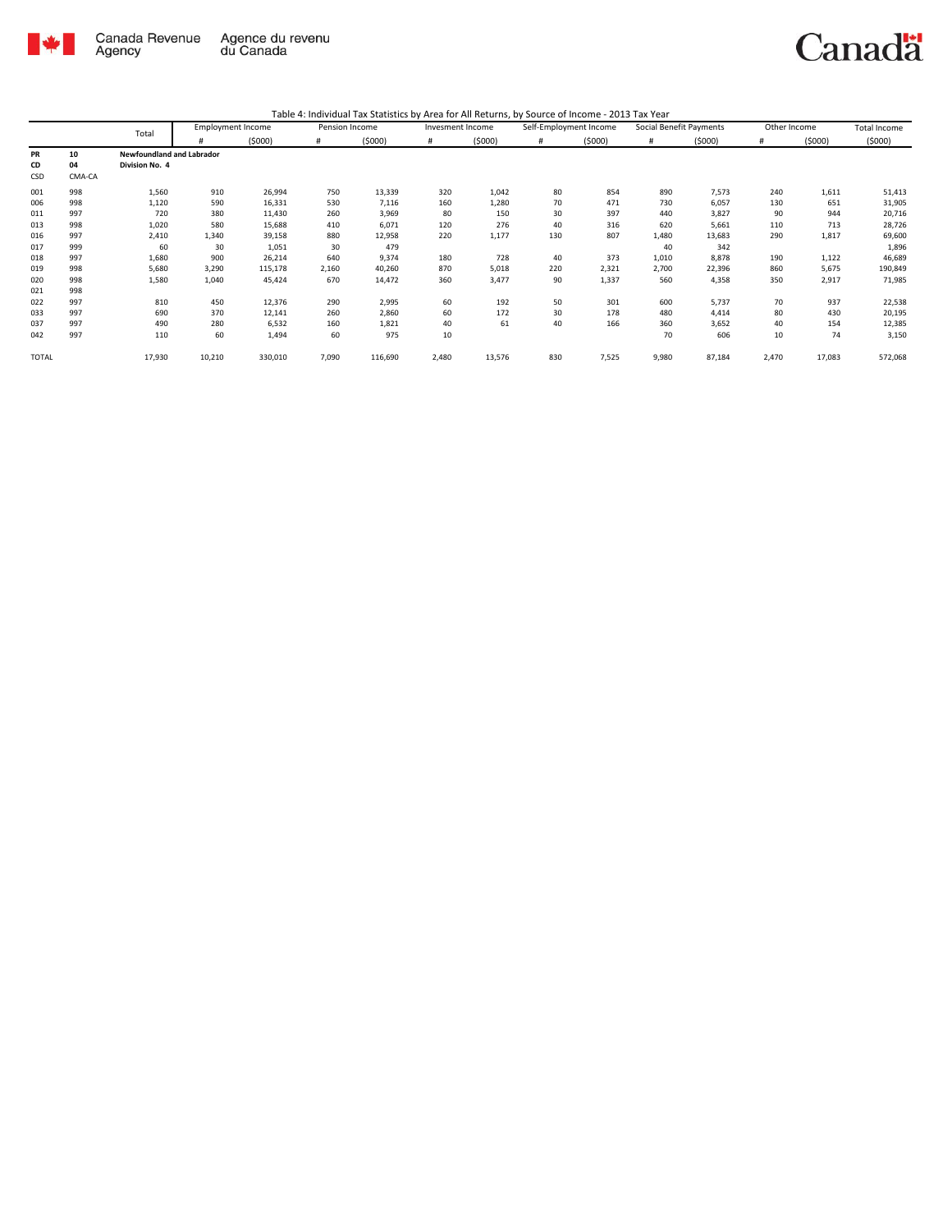

| Table 4: Individual Tax Statistics by Area for All Returns, by Source of Income - 2013 Tax Year |  |
|-------------------------------------------------------------------------------------------------|--|
|                                                                                                 |  |

|              |        | Total                            | <b>Employment Income</b> |         | Pension Income |         | Invesment Income |        | Self-Employment Income |        | Social Benefit Payments |        | Other Income |        | <b>Total Income</b> |
|--------------|--------|----------------------------------|--------------------------|---------|----------------|---------|------------------|--------|------------------------|--------|-------------------------|--------|--------------|--------|---------------------|
|              |        |                                  | #                        | (5000)  | #              | (5000)  | #                | (5000) | #                      | (5000) | #                       | (5000) | #            | (5000) | (5000)              |
| PR           | 10     | <b>Newfoundland and Labrador</b> |                          |         |                |         |                  |        |                        |        |                         |        |              |        |                     |
| CD           | 04     | Division No. 4                   |                          |         |                |         |                  |        |                        |        |                         |        |              |        |                     |
| CSD          | CMA-CA |                                  |                          |         |                |         |                  |        |                        |        |                         |        |              |        |                     |
| 001          | 998    | 1,560                            | 910                      | 26,994  | 750            | 13,339  | 320              | 1,042  | 80                     | 854    | 890                     | 7,573  | 240          | 1,611  | 51,413              |
| 006          | 998    | 1,120                            | 590                      | 16,331  | 530            | 7,116   | 160              | 1,280  | 70                     | 471    | 730                     | 6,057  | 130          | 651    | 31,905              |
| 011          | 997    | 720                              | 380                      | 11,430  | 260            | 3,969   | 80               | 150    | 30                     | 397    | 440                     | 3,827  | 90           | 944    | 20,716              |
| 013          | 998    | 1,020                            | 580                      | 15,688  | 410            | 6,071   | 120              | 276    | 40                     | 316    | 620                     | 5,661  | 110          | 713    | 28,726              |
| 016          | 997    | 2,410                            | 1,340                    | 39,158  | 880            | 12,958  | 220              | 1,177  | 130                    | 807    | 1,480                   | 13,683 | 290          | 1,817  | 69,600              |
| 017          | 999    | 60                               | 30                       | 1,051   | 30             | 479     |                  |        |                        |        | 40                      | 342    |              |        | 1,896               |
| 018          | 997    | 1,680                            | 900                      | 26,214  | 640            | 9,374   | 180              | 728    | 40                     | 373    | 1,010                   | 8,878  | 190          | 1,122  | 46,689              |
| 019          | 998    | 5,680                            | 3,290                    | 115,178 | 2,160          | 40,260  | 870              | 5,018  | 220                    | 2,321  | 2,700                   | 22,396 | 860          | 5,675  | 190,849             |
| 020          | 998    | 1,580                            | 1,040                    | 45,424  | 670            | 14,472  | 360              | 3,477  | 90                     | 1,337  | 560                     | 4,358  | 350          | 2,917  | 71,985              |
| 021          | 998    |                                  |                          |         |                |         |                  |        |                        |        |                         |        |              |        |                     |
| 022          | 997    | 810                              | 450                      | 12,376  | 290            | 2,995   | 60               | 192    | 50                     | 301    | 600                     | 5,737  | 70           | 937    | 22,538              |
| 033          | 997    | 690                              | 370                      | 12,141  | 260            | 2,860   | 60               | 172    | 30                     | 178    | 480                     | 4,414  | 80           | 430    | 20,195              |
| 037          | 997    | 490                              | 280                      | 6,532   | 160            | 1,821   | 40               | 61     | 40                     | 166    | 360                     | 3,652  | 40           | 154    | 12,385              |
| 042          | 997    | 110                              | 60                       | 1,494   | 60             | 975     | 10               |        |                        |        | 70                      | 606    | 10           | 74     | 3,150               |
| <b>TOTAL</b> |        | 17,930                           | 10,210                   | 330,010 | 7,090          | 116,690 | 2,480            | 13,576 | 830                    | 7,525  | 9,980                   | 87,184 | 2,470        | 17,083 | 572,068             |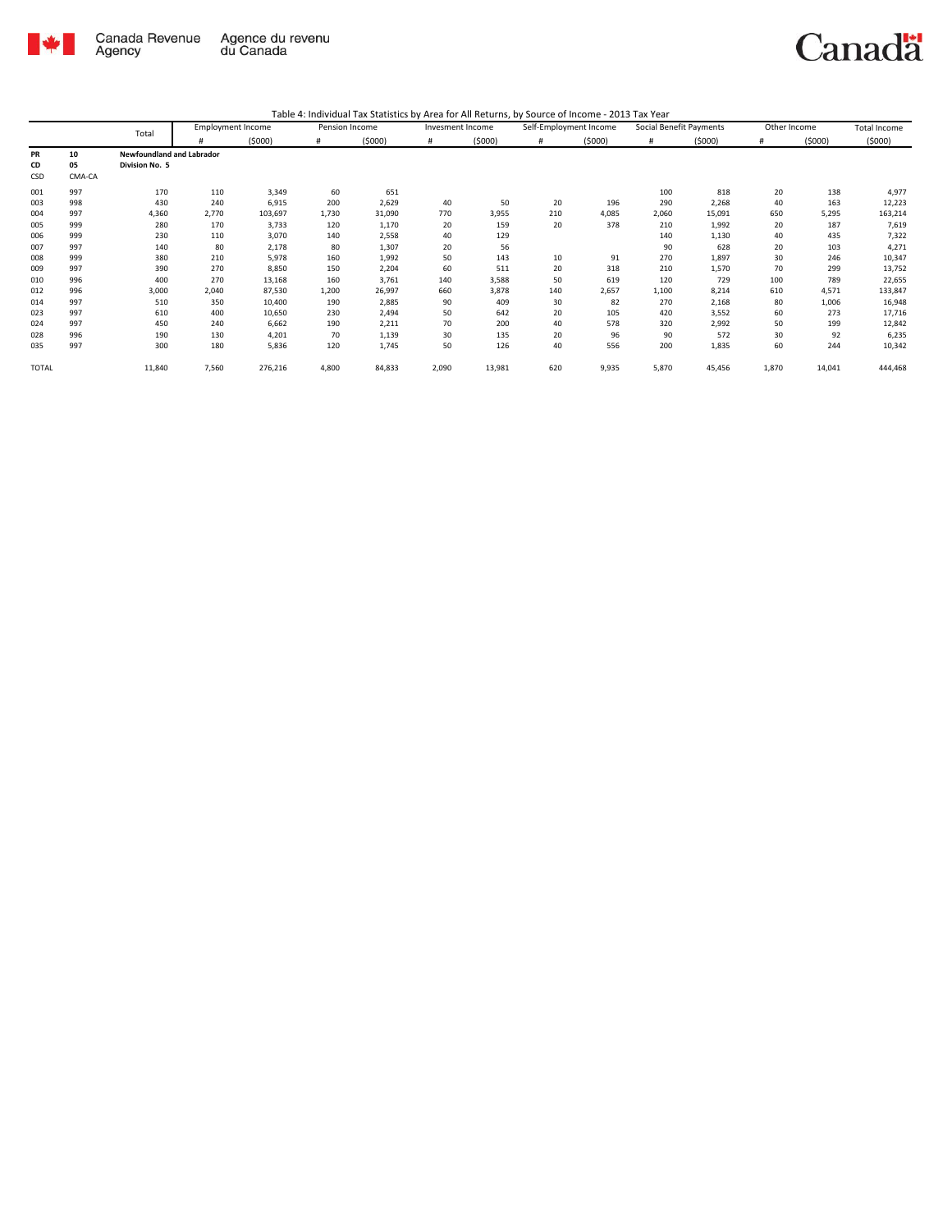

| Table 4: Individual Tax Statistics by Area for All Returns, by Source of Income - 2013 Tax Year |  |  |  |
|-------------------------------------------------------------------------------------------------|--|--|--|
|-------------------------------------------------------------------------------------------------|--|--|--|

|              |        | Total                     |       | <b>Employment Income</b> | Pension Income |        | Invesment Income |        | Self-Employment Income |        | Social Benefit Payments |        |       | Other Income | <b>Total Income</b> |
|--------------|--------|---------------------------|-------|--------------------------|----------------|--------|------------------|--------|------------------------|--------|-------------------------|--------|-------|--------------|---------------------|
|              |        |                           |       | (5000)                   | #              | (5000) |                  | (5000) | #                      | (5000) | #                       | (5000) |       | (5000)       | (5000)              |
| PR           | 10     | Newfoundland and Labrador |       |                          |                |        |                  |        |                        |        |                         |        |       |              |                     |
| CD           | 05     | Division No. 5            |       |                          |                |        |                  |        |                        |        |                         |        |       |              |                     |
| CSD          | CMA-CA |                           |       |                          |                |        |                  |        |                        |        |                         |        |       |              |                     |
| 001          | 997    | 170                       | 110   | 3,349                    | 60             | 651    |                  |        |                        |        | 100                     | 818    | 20    | 138          | 4,977               |
| 003          | 998    | 430                       | 240   | 6,915                    | 200            | 2,629  | 40               | 50     | 20                     | 196    | 290                     | 2,268  | 40    | 163          | 12,223              |
| 004          | 997    | 4,360                     | 2,770 | 103,697                  | 1,730          | 31,090 | 770              | 3,955  | 210                    | 4,085  | 2,060                   | 15,091 | 650   | 5,295        | 163,214             |
| 005          | 999    | 280                       | 170   | 3,733                    | 120            | 1,170  | 20               | 159    | 20                     | 378    | 210                     | 1,992  | 20    | 187          | 7,619               |
| 006          | 999    | 230                       | 110   | 3,070                    | 140            | 2,558  | 40               | 129    |                        |        | 140                     | 1,130  | 40    | 435          | 7,322               |
| 007          | 997    | 140                       | 80    | 2,178                    | 80             | 1,307  | 20               | 56     |                        |        | 90                      | 628    | 20    | 103          | 4,271               |
| 008          | 999    | 380                       | 210   | 5,978                    | 160            | 1,992  | 50               | 143    | 10                     | 91     | 270                     | 1,897  | 30    | 246          | 10,347              |
| 009          | 997    | 390                       | 270   | 8,850                    | 150            | 2,204  | 60               | 511    | 20                     | 318    | 210                     | 1,570  | 70    | 299          | 13,752              |
| 010          | 996    | 400                       | 270   | 13,168                   | 160            | 3,761  | 140              | 3,588  | 50                     | 619    | 120                     | 729    | 100   | 789          | 22,655              |
| 012          | 996    | 3,000                     | 2,040 | 87,530                   | 1,200          | 26,997 | 660              | 3,878  | 140                    | 2,657  | 1,100                   | 8,214  | 610   | 4,571        | 133,847             |
| 014          | 997    | 510                       | 350   | 10,400                   | 190            | 2,885  | 90               | 409    | 30                     | 82     | 270                     | 2,168  | 80    | 1,006        | 16,948              |
| 023          | 997    | 610                       | 400   | 10,650                   | 230            | 2,494  | 50               | 642    | 20                     | 105    | 420                     | 3,552  | 60    | 273          | 17,716              |
| 024          | 997    | 450                       | 240   | 6,662                    | 190            | 2,211  | 70               | 200    | 40                     | 578    | 320                     | 2,992  | 50    | 199          | 12,842              |
| 028          | 996    | 190                       | 130   | 4,201                    | 70             | 1,139  | 30               | 135    | 20                     | 96     | 90                      | 572    | 30    | 92           | 6,235               |
| 035          | 997    | 300                       | 180   | 5,836                    | 120            | 1,745  | 50               | 126    | 40                     | 556    | 200                     | 1,835  | 60    | 244          | 10,342              |
| <b>TOTAL</b> |        | 11,840                    | 7,560 | 276,216                  | 4,800          | 84,833 | 2,090            | 13,981 | 620                    | 9,935  | 5,870                   | 45,456 | 1,870 | 14,041       | 444,468             |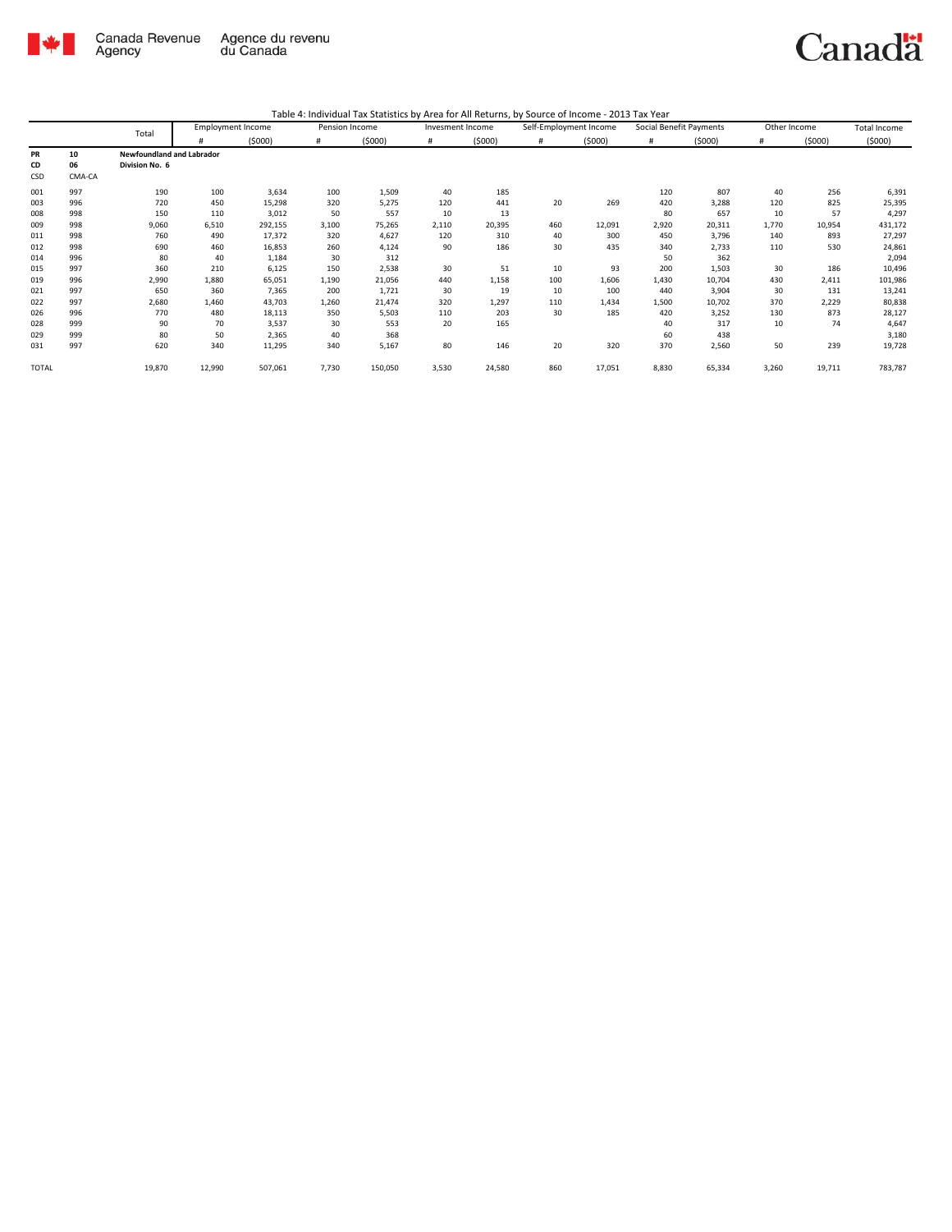

|              |        | Total                            |        | <b>Employment Income</b> | Pension Income |         | Invesment Income |        | Self-Employment Income |        | Social Benefit Payments |        | Other Income |        | <b>Total Income</b> |
|--------------|--------|----------------------------------|--------|--------------------------|----------------|---------|------------------|--------|------------------------|--------|-------------------------|--------|--------------|--------|---------------------|
|              |        |                                  |        | (5000)                   | #              | (5000)  | #                | (5000) | #                      | (5000) | #                       | (5000) | #            | (5000) | (5000)              |
| PR           | 10     | <b>Newfoundland and Labrador</b> |        |                          |                |         |                  |        |                        |        |                         |        |              |        |                     |
| CD           | 06     | Division No. 6                   |        |                          |                |         |                  |        |                        |        |                         |        |              |        |                     |
| CSD          | CMA-CA |                                  |        |                          |                |         |                  |        |                        |        |                         |        |              |        |                     |
| 001          | 997    | 190                              | 100    | 3,634                    | 100            | 1,509   | 40               | 185    |                        |        | 120                     | 807    | 40           | 256    | 6,391               |
| 003          | 996    | 720                              | 450    | 15,298                   | 320            | 5,275   | 120              | 441    | 20                     | 269    | 420                     | 3,288  | 120          | 825    | 25,395              |
| 008          | 998    | 150                              | 110    | 3,012                    | 50             | 557     | 10               | 13     |                        |        | 80                      | 657    | 10           | 57     | 4,297               |
| 009          | 998    | 9,060                            | 6,510  | 292,155                  | 3,100          | 75,265  | 2,110            | 20,395 | 460                    | 12,091 | 2,920                   | 20,311 | 1,770        | 10,954 | 431,172             |
| 011          | 998    | 760                              | 490    | 17,372                   | 320            | 4,627   | 120              | 310    | 40                     | 300    | 450                     | 3,796  | 140          | 893    | 27,297              |
| 012          | 998    | 690                              | 460    | 16,853                   | 260            | 4,124   | 90               | 186    | 30                     | 435    | 340                     | 2,733  | 110          | 530    | 24,861              |
| 014          | 996    | 80                               | 40     | 1,184                    | 30             | 312     |                  |        |                        |        | 50                      | 362    |              |        | 2,094               |
| 015          | 997    | 360                              | 210    | 6,125                    | 150            | 2,538   | 30               | 51     | 10                     | 93     | 200                     | 1,503  | 30           | 186    | 10,496              |
| 019          | 996    | 2,990                            | 1,880  | 65,051                   | 1,190          | 21,056  | 440              | 1,158  | 100                    | 1,606  | 1,430                   | 10,704 | 430          | 2,411  | 101,986             |
| 021          | 997    | 650                              | 360    | 7,365                    | 200            | 1,721   | 30               | 19     | 10                     | 100    | 440                     | 3,904  | 30           | 131    | 13,241              |
| 022          | 997    | 2,680                            | 1,460  | 43,703                   | 1,260          | 21,474  | 320              | 1,297  | 110                    | 1,434  | 1,500                   | 10,702 | 370          | 2,229  | 80,838              |
| 026          | 996    | 770                              | 480    | 18,113                   | 350            | 5,503   | 110              | 203    | 30                     | 185    | 420                     | 3,252  | 130          | 873    | 28,127              |
| 028          | 999    | 90                               | 70     | 3,537                    | 30             | 553     | 20               | 165    |                        |        | 40                      | 317    | 10           | 74     | 4,647               |
| 029          | 999    | 80                               | 50     | 2,365                    | 40             | 368     |                  |        |                        |        | 60                      | 438    |              |        | 3,180               |
| 031          | 997    | 620                              | 340    | 11,295                   | 340            | 5,167   | 80               | 146    | 20                     | 320    | 370                     | 2,560  | 50           | 239    | 19,728              |
| <b>TOTAL</b> |        | 19,870                           | 12,990 | 507,061                  | 7,730          | 150,050 | 3,530            | 24,580 | 860                    | 17,051 | 8,830                   | 65,334 | 3,260        | 19,711 | 783,787             |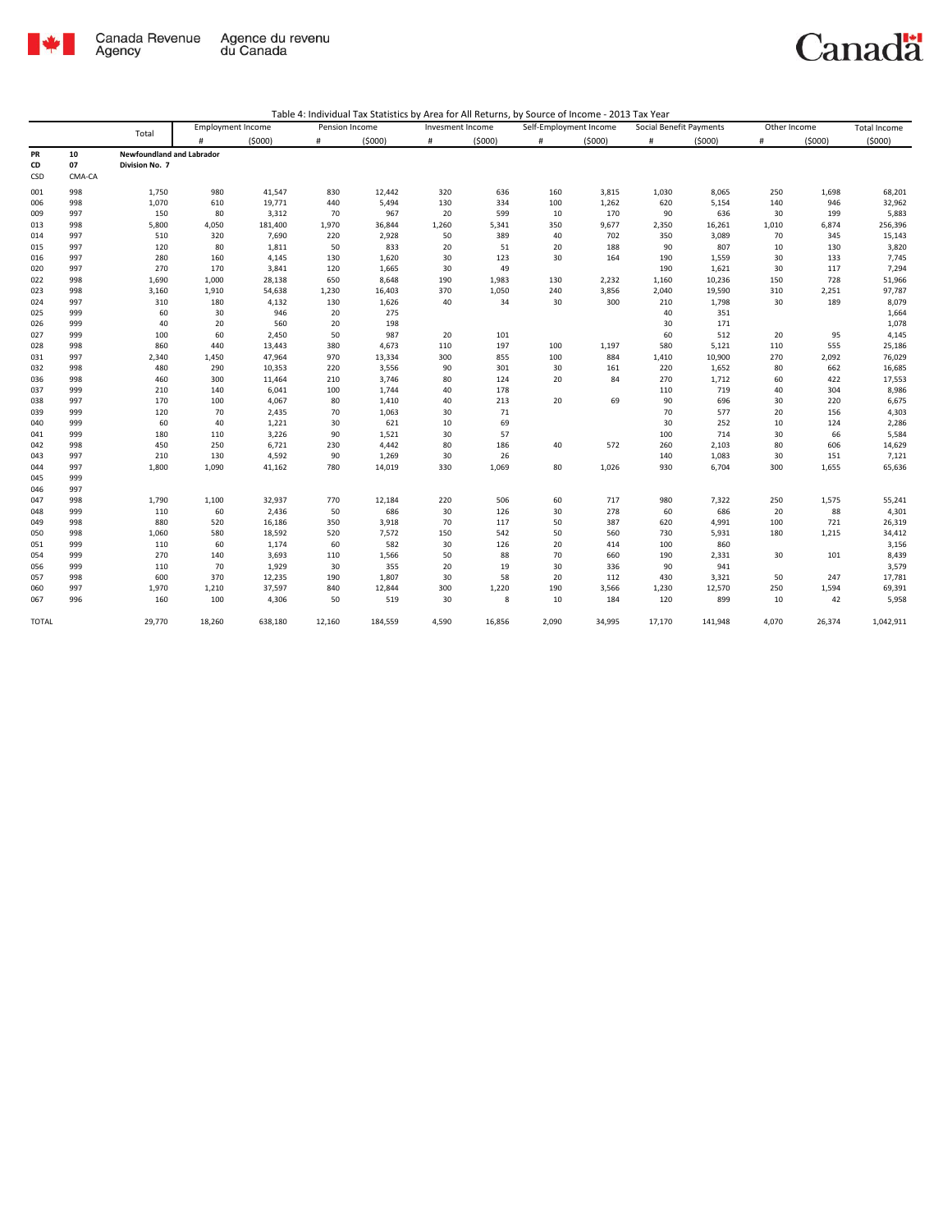

|       | Total  | <b>Employment Income</b>  |        | Pension Income |        | Invesment Income |       | Self-Employment Income |       | Social Benefit Payments |        | Other Income |       | Total Income |           |
|-------|--------|---------------------------|--------|----------------|--------|------------------|-------|------------------------|-------|-------------------------|--------|--------------|-------|--------------|-----------|
|       |        |                           | #      | (5000)         | #      | (5000)           | #     | (5000)                 | #     | (5000)                  | #      | (5000)       | #     | (5000)       | (5000)    |
| PR    | 10     | Newfoundland and Labrador |        |                |        |                  |       |                        |       |                         |        |              |       |              |           |
| CD    | 07     | Division No. 7            |        |                |        |                  |       |                        |       |                         |        |              |       |              |           |
| CSD   | CMA-CA |                           |        |                |        |                  |       |                        |       |                         |        |              |       |              |           |
| 001   | 998    | 1,750                     | 980    | 41,547         | 830    | 12,442           | 320   | 636                    | 160   | 3,815                   | 1,030  | 8,065        | 250   | 1,698        | 68,201    |
| 006   | 998    | 1,070                     | 610    | 19,771         | 440    | 5,494            | 130   | 334                    | 100   | 1,262                   | 620    | 5,154        | 140   | 946          | 32,962    |
| 009   | 997    | 150                       | 80     | 3,312          | 70     | 967              | 20    | 599                    | 10    | 170                     | 90     | 636          | 30    | 199          | 5,883     |
| 013   | 998    | 5,800                     | 4,050  | 181,400        | 1,970  | 36,844           | 1,260 | 5,341                  | 350   | 9,677                   | 2,350  | 16,261       | 1,010 | 6,874        | 256,396   |
| 014   | 997    | 510                       | 320    | 7,690          | 220    | 2,928            | 50    | 389                    | 40    | 702                     | 350    | 3,089        | 70    | 345          | 15,143    |
| 015   | 997    | 120                       | 80     | 1,811          | 50     | 833              | 20    | 51                     | 20    | 188                     | 90     | 807          | 10    | 130          | 3,820     |
| 016   | 997    | 280                       | 160    | 4,145          | 130    | 1,620            | 30    | 123                    | 30    | 164                     | 190    | 1,559        | 30    | 133          | 7,745     |
| 020   | 997    | 270                       | 170    | 3,841          | 120    | 1,665            | 30    | 49                     |       |                         | 190    | 1,621        | 30    | 117          | 7,294     |
| 022   | 998    | 1,690                     | 1,000  | 28,138         | 650    | 8,648            | 190   | 1,983                  | 130   | 2,232                   | 1,160  | 10,236       | 150   | 728          | 51,966    |
| 023   | 998    | 3,160                     | 1,910  | 54,638         | 1,230  | 16,403           | 370   | 1,050                  | 240   | 3,856                   | 2,040  | 19,590       | 310   | 2,251        | 97,787    |
| 024   | 997    | 310                       | 180    | 4,132          | 130    | 1,626            | 40    | 34                     | 30    | 300                     | 210    | 1,798        | 30    | 189          | 8,079     |
| 025   | 999    | 60                        | 30     | 946            | 20     | 275              |       |                        |       |                         | 40     | 351          |       |              | 1,664     |
| 026   | 999    | 40                        | 20     | 560            | 20     | 198              |       |                        |       |                         | 30     | 171          |       |              | 1,078     |
| 027   | 999    | 100                       | 60     | 2,450          | 50     | 987              | 20    | 101                    |       |                         | 60     | 512          | 20    | 95           | 4,145     |
| 028   | 998    | 860                       | 440    | 13,443         | 380    | 4,673            | 110   | 197                    | 100   | 1,197                   | 580    | 5,121        | 110   | 555          | 25,186    |
| 031   | 997    | 2,340                     | 1,450  | 47,964         | 970    | 13,334           | 300   | 855                    | 100   | 884                     | 1,410  | 10,900       | 270   | 2,092        | 76,029    |
| 032   | 998    | 480                       | 290    | 10,353         | 220    | 3,556            | 90    | 301                    | 30    | 161                     | 220    | 1,652        | 80    | 662          | 16,685    |
| 036   | 998    | 460                       | 300    | 11,464         | 210    | 3,746            | 80    | 124                    | 20    | 84                      | 270    | 1,712        | 60    | 422          | 17,553    |
| 037   | 999    | 210                       | 140    | 6,041          | 100    | 1,744            | 40    | 178                    |       |                         | 110    | 719          | 40    | 304          | 8,986     |
| 038   | 997    | 170                       | 100    | 4,067          | 80     | 1,410            | 40    | 213                    | 20    | 69                      | 90     | 696          | 30    | 220          | 6,675     |
| 039   | 999    | 120                       | 70     | 2,435          | 70     | 1,063            | 30    | 71                     |       |                         | 70     | 577          | 20    | 156          | 4,303     |
| 040   | 999    | 60                        | 40     | 1,221          | 30     | 621              | 10    | 69                     |       |                         | 30     | 252          | 10    | 124          | 2,286     |
| 041   | 999    | 180                       | 110    | 3,226          | 90     | 1,521            | 30    | 57                     |       |                         | 100    | 714          | 30    | 66           | 5,584     |
| 042   | 998    | 450                       | 250    | 6,721          | 230    | 4,442            | 80    | 186                    | 40    | 572                     | 260    | 2,103        | 80    | 606          | 14,629    |
| 043   | 997    | 210                       | 130    | 4,592          | 90     | 1,269            | 30    | 26                     |       |                         | 140    | 1,083        | 30    | 151          | 7,121     |
| 044   | 997    | 1,800                     | 1,090  | 41,162         | 780    | 14,019           | 330   | 1,069                  | 80    | 1,026                   | 930    | 6,704        | 300   | 1,655        | 65,636    |
| 045   | 999    |                           |        |                |        |                  |       |                        |       |                         |        |              |       |              |           |
| 046   | 997    |                           |        |                |        |                  |       |                        |       |                         |        |              |       |              |           |
| 047   | 998    | 1,790                     | 1,100  | 32,937         | 770    | 12,184           | 220   | 506                    | 60    | 717                     | 980    | 7,322        | 250   | 1,575        | 55,241    |
| 048   | 999    | 110                       | 60     | 2,436          | 50     | 686              | 30    | 126                    | 30    | 278                     | 60     | 686          | 20    | 88           | 4,301     |
| 049   | 998    | 880                       | 520    | 16,186         | 350    | 3,918            | 70    | 117                    | 50    | 387                     | 620    | 4,991        | 100   | 721          | 26,319    |
| 050   | 998    | 1,060                     | 580    | 18,592         | 520    | 7,572            | 150   | 542                    | 50    | 560                     | 730    | 5,931        | 180   | 1,215        | 34,412    |
| 051   | 999    | 110                       | 60     | 1,174          | 60     | 582              | 30    | 126                    | 20    | 414                     | 100    | 860          |       |              | 3,156     |
| 054   | 999    | 270                       | 140    | 3,693          | 110    | 1,566            | 50    | 88                     | 70    | 660                     | 190    | 2,331        | 30    | 101          | 8,439     |
| 056   | 999    | 110                       | 70     | 1,929          | 30     | 355              | 20    | 19                     | 30    | 336                     | 90     | 941          |       |              | 3,579     |
| 057   | 998    | 600                       | 370    | 12,235         | 190    | 1,807            | 30    | 58                     | 20    | 112                     | 430    | 3,321        | 50    | 247          | 17,781    |
| 060   | 997    | 1,970                     | 1,210  | 37,597         | 840    | 12,844           | 300   | 1,220                  | 190   | 3,566                   | 1,230  | 12,570       | 250   | 1,594        | 69,391    |
| 067   | 996    | 160                       | 100    | 4,306          | 50     | 519              | 30    | 8                      | 10    | 184                     | 120    | 899          | 10    | 42           | 5,958     |
| TOTAL |        | 29,770                    | 18,260 | 638,180        | 12,160 | 184,559          | 4,590 | 16,856                 | 2,090 | 34,995                  | 17,170 | 141,948      | 4,070 | 26,374       | 1,042,911 |
|       |        |                           |        |                |        |                  |       |                        |       |                         |        |              |       |              |           |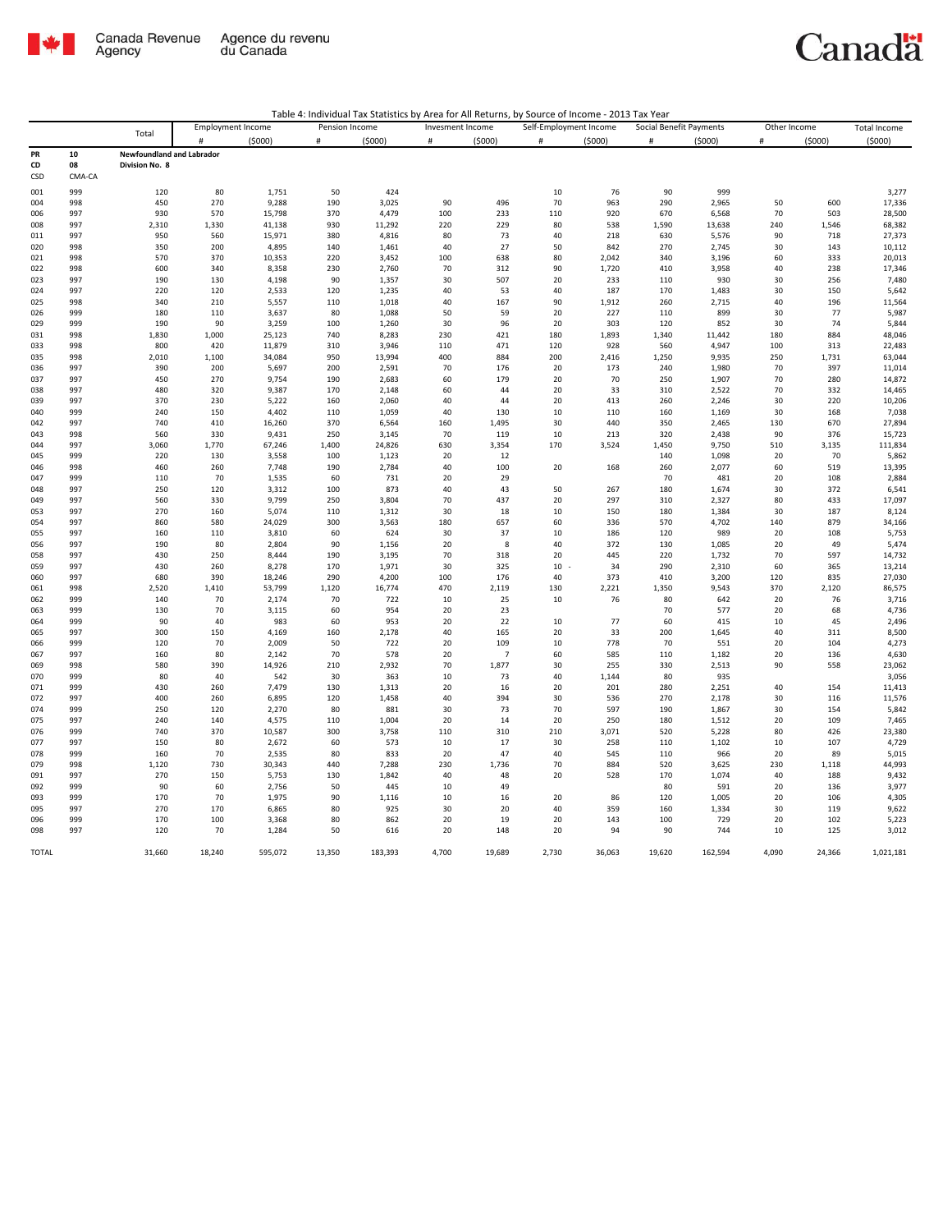

|  |  | Table 4: Individual Tax Statistics by Area for All Returns, by Source of Income - 2013 Tax Year |
|--|--|-------------------------------------------------------------------------------------------------|
|--|--|-------------------------------------------------------------------------------------------------|

| Total        |            |                                  | <b>Employment Income</b> |                | Pension Income |                |          | Invesment Income |          | Self-Employment Income |            | Social Benefit Payments |          | Other Income |                  |
|--------------|------------|----------------------------------|--------------------------|----------------|----------------|----------------|----------|------------------|----------|------------------------|------------|-------------------------|----------|--------------|------------------|
|              |            |                                  | #                        | (5000)         | $\#$           | (5000)         | #        | (5000)           | #        | (5000)                 | $\#$       | (5000)                  | #        | (5000)       | (5000)           |
| PR           | 10         | <b>Newfoundland and Labrador</b> |                          |                |                |                |          |                  |          |                        |            |                         |          |              |                  |
| CD           | 08         | Division No. 8                   |                          |                |                |                |          |                  |          |                        |            |                         |          |              |                  |
| CSD          | CMA-CA     |                                  |                          |                |                |                |          |                  |          |                        |            |                         |          |              |                  |
| 001          | 999        | 120                              | 80                       | 1,751          | 50             | 424            |          |                  | 10       | 76                     | 90         | 999                     |          |              | 3,277            |
| 004          | 998        | 450                              | 270                      | 9,288          | 190            | 3,025          | 90       | 496              | 70       | 963                    | 290        | 2,965                   | 50       | 600          | 17,336           |
| 006          | 997        | 930                              | 570                      | 15,798         | 370            | 4,479          | 100      | 233              | 110      | 920                    | 670        | 6,568                   | 70       | 503          | 28,500           |
| 008          | 997        | 2,310                            | 1,330                    | 41,138         | 930            | 11,292         | 220      | 229              | 80       | 538                    | 1,590      | 13,638                  | 240      | 1,546        | 68,382           |
| 011          | 997        | 950                              | 560                      | 15,971         | 380            | 4,816          | 80       | 73               | 40       | 218                    | 630        | 5,576                   | 90       | 718          | 27,373           |
| 020          | 998        | 350                              | 200                      | 4,895          | 140            | 1,461          | 40       | 27               | 50       | 842                    | 270        | 2,745                   | 30       | 143          | 10,112           |
| 021          | 998        | 570                              | 370                      | 10,353         | 220            | 3,452          | 100      | 638              | 80       | 2,042                  | 340        | 3,196                   | 60       | 333          | 20,013           |
| 022          | 998        | 600                              | 340                      | 8,358          | 230            | 2,760          | 70       | 312              | 90       | 1,720                  | 410        | 3,958                   | 40       | 238          | 17,346           |
| 023          | 997        | 190                              | 130                      | 4,198          | 90             | 1,357          | 30       | 507              | 20       | 233                    | 110        | 930                     | 30       | 256          | 7,480            |
| 024          | 997        | 220                              | 120                      | 2,533          | 120            | 1,235          | 40       | 53               | 40       | 187                    | 170        | 1,483                   | 30       | 150          | 5,642            |
| 025          | 998        | 340                              | 210                      | 5,557          | 110            | 1,018          | 40       | 167              | 90       | 1,912                  | 260        | 2,715                   | 40       | 196          | 11,564           |
| 026          | 999        | 180                              | 110                      | 3,637          | 80             | 1,088          | 50       | 59               | 20       | 227                    | 110        | 899                     | 30       | 77           | 5,987            |
| 029          | 999        | 190                              | 90                       | 3,259          | 100            | 1,260          | 30       | 96               | 20       | 303                    | 120        | 852                     | 30       | 74           | 5,844            |
| 031          | 998        | 1,830                            | 1,000                    | 25,123         | 740            | 8,283          | 230      | 421              | 180      | 1,893                  | 1,340      | 11,442                  | 180      | 884          | 48,046           |
| 033          | 998        | 800                              | 420                      | 11,879         | 310            | 3,946          | 110      | 471              | 120      | 928                    | 560        | 4,947                   | 100      | 313          | 22,483           |
| 035          | 998        | 2,010                            | 1,100                    | 34,084         | 950            | 13,994         | 400      | 884              | 200      | 2,416                  | 1,250      | 9,935                   | 250      | 1,731        | 63,044           |
| 036          | 997        | 390                              | 200                      | 5,697          | 200            | 2,591          | 70       | 176              | 20       | 173                    | 240        | 1,980                   | 70       | 397          | 11,014           |
| 037<br>038   | 997<br>997 | 450<br>480                       | 270<br>320               | 9,754<br>9,387 | 190<br>170     | 2,683          | 60<br>60 | 179<br>44        | 20<br>20 | 70<br>33               | 250<br>310 | 1,907                   | 70<br>70 | 280<br>332   | 14,872           |
| 039          | 997        | 370                              | 230                      | 5,222          | 160            | 2,148<br>2,060 | 40       | 44               | 20       | 413                    | 260        | 2,522<br>2,246          | 30       | 220          | 14,465<br>10,206 |
| 040          | 999        | 240                              | 150                      | 4,402          | 110            | 1,059          | 40       | 130              | 10       | 110                    | 160        | 1,169                   | 30       | 168          | 7,038            |
| 042          | 997        | 740                              | 410                      | 16,260         | 370            | 6,564          | 160      | 1,495            | 30       | 440                    | 350        | 2,465                   | 130      | 670          | 27,894           |
| 043          | 998        | 560                              | 330                      | 9,431          | 250            | 3,145          | 70       | 119              | 10       | 213                    | 320        | 2,438                   | 90       | 376          | 15,723           |
| 044          | 997        | 3,060                            | 1,770                    | 67,246         | 1,400          | 24,826         | 630      | 3,354            | 170      | 3,524                  | 1,450      | 9,750                   | 510      | 3,135        | 111,834          |
| 045          | 999        | 220                              | 130                      | 3,558          | 100            | 1,123          | 20       | 12               |          |                        | 140        | 1,098                   | 20       | 70           | 5,862            |
| 046          | 998        | 460                              | 260                      | 7,748          | 190            | 2,784          | 40       | 100              | 20       | 168                    | 260        | 2,077                   | 60       | 519          | 13,395           |
| 047          | 999        | 110                              | 70                       | 1,535          | 60             | 731            | 20       | 29               |          |                        | 70         | 481                     | 20       | 108          | 2,884            |
| 048          | 997        | 250                              | 120                      | 3,312          | 100            | 873            | 40       | 43               | 50       | 267                    | 180        | 1,674                   | 30       | 372          | 6,541            |
| 049          | 997        | 560                              | 330                      | 9,799          | 250            | 3,804          | 70       | 437              | 20       | 297                    | 310        | 2,327                   | 80       | 433          | 17,097           |
| 053          | 997        | 270                              | 160                      | 5,074          | 110            | 1,312          | 30       | 18               | 10       | 150                    | 180        | 1,384                   | 30       | 187          | 8,124            |
| 054          | 997        | 860                              | 580                      | 24,029         | 300            | 3,563          | 180      | 657              | 60       | 336                    | 570        | 4,702                   | 140      | 879          | 34,166           |
| 055          | 997        | 160                              | 110                      | 3,810          | 60             | 624            | 30       | 37               | 10       | 186                    | 120        | 989                     | 20       | 108          | 5,753            |
| 056          | 997        | 190                              | 80                       | 2,804          | 90             | 1,156          | 20       | 8                | 40       | 372                    | 130        | 1,085                   | 20       | 49           | 5,474            |
| 058          | 997        | 430                              | 250                      | 8,444          | 190            | 3,195          | 70       | 318              | 20       | 445                    | 220        | 1,732                   | 70       | 597          | 14,732           |
| 059          | 997        | 430                              | 260                      | 8,278          | 170            | 1,971          | 30       | 325              | $10 -$   | 34                     | 290        | 2,310                   | 60       | 365          | 13,214           |
| 060          | 997        | 680                              | 390                      | 18,246         | 290            | 4,200          | 100      | 176              | 40       | 373                    | 410        | 3,200                   | 120      | 835          | 27,030           |
| 061          | 998        | 2,520                            | 1,410                    | 53,799         | 1,120          | 16,774         | 470      | 2,119            | 130      | 2,221                  | 1,350      | 9,543                   | 370      | 2,120        | 86,575           |
| 062          | 999        | 140                              | 70                       | 2,174          | 70             | 722            | 10       | 25               | 10       | 76                     | 80         | 642                     | 20       | 76           | 3,716            |
| 063          | 999        | 130                              | 70                       | 3,115          | 60             | 954            | 20       | 23               |          |                        | 70         | 577                     | 20       | 68           | 4,736            |
| 064<br>065   | 999        | 90<br>300                        | 40<br>150                | 983<br>4,169   | 60             | 953            | 20<br>40 | 22<br>165        | 10<br>20 | 77<br>33               | 60<br>200  | 415<br>1,645            | 10<br>40 | 45<br>311    | 2,496<br>8,500   |
| 066          | 997<br>999 | 120                              | 70                       | 2,009          | 160<br>50      | 2,178<br>722   | 20       | 109              | 10       | 778                    | 70         | 551                     | 20       | 104          | 4,273            |
| 067          | 997        | 160                              | 80                       | 2,142          | 70             | 578            | 20       | $\overline{7}$   | 60       | 585                    | 110        | 1,182                   | 20       | 136          | 4,630            |
| 069          | 998        | 580                              | 390                      | 14,926         | 210            | 2,932          | 70       | 1,877            | 30       | 255                    | 330        | 2,513                   | 90       | 558          | 23,062           |
| 070          | 999        | 80                               | 40                       | 542            | 30             | 363            | 10       | 73               | 40       | 1,144                  | 80         | 935                     |          |              | 3,056            |
| 071          | 999        | 430                              | 260                      | 7,479          | 130            | 1,313          | 20       | 16               | 20       | 201                    | 280        | 2,251                   | 40       | 154          | 11,413           |
| 072          | 997        | 400                              | 260                      | 6,895          | 120            | 1,458          | 40       | 394              | 30       | 536                    | 270        | 2,178                   | 30       | 116          | 11,576           |
| 074          | 999        | 250                              | 120                      | 2,270          | 80             | 881            | 30       | 73               | 70       | 597                    | 190        | 1,867                   | 30       | 154          | 5,842            |
| 075          | 997        | 240                              | 140                      | 4,575          | 110            | 1,004          | 20       | 14               | 20       | 250                    | 180        | 1,512                   | 20       | 109          | 7,465            |
| 076          | 999        | 740                              | 370                      | 10,587         | 300            | 3,758          | 110      | 310              | 210      | 3,071                  | 520        | 5,228                   | 80       | 426          | 23,380           |
| 077          | 997        | 150                              | 80                       | 2,672          | 60             | 573            | 10       | 17               | 30       | 258                    | 110        | 1,102                   | $10\,$   | 107          | 4,729            |
| 078          | 999        | 160                              | 70                       | 2,535          | 80             | 833            | 20       | 47               | 40       | 545                    | 110        | 966                     | 20       | 89           | 5,015            |
| 079          | 998        | 1,120                            | 730                      | 30,343         | 440            | 7,288          | 230      | 1,736            | 70       | 884                    | 520        | 3,625                   | 230      | 1,118        | 44,993           |
| 091          | 997        | 270                              | 150                      | 5,753          | 130            | 1,842          | 40       | 48               | 20       | 528                    | 170        | 1,074                   | 40       | 188          | 9,432            |
| 092          | 999        | 90                               | 60                       | 2,756          | 50             | 445            | $10\,$   | 49               |          |                        | 80         | 591                     | 20       | 136          | 3,977            |
| 093          | 999        | 170                              | 70                       | 1,975          | 90             | 1,116          | 10       | 16               | 20       | 86                     | 120        | 1,005                   | 20       | 106          | 4,305            |
| 095          | 997        | 270                              | 170                      | 6,865          | 80             | 925            | 30       | 20               | 40       | 359                    | 160        | 1,334                   | 30       | 119          | 9,622            |
| 096          | 999        | 170                              | 100                      | 3,368          | 80             | 862            | 20       | 19               | 20       | 143                    | 100        | 729                     | 20       | 102          | 5,223            |
| 098          | 997        | 120                              | 70                       | 1,284          | 50             | 616            | 20       | 148              | 20       | 94                     | 90         | 744                     | 10       | 125          | 3,012            |
| <b>TOTAL</b> |            | 31,660                           | 18.240                   | 595,072        | 13,350         | 183.393        | 4,700    | 19.689           | 2,730    | 36.063                 | 19,620     | 162,594                 | 4,090    | 24,366       | 1,021,181        |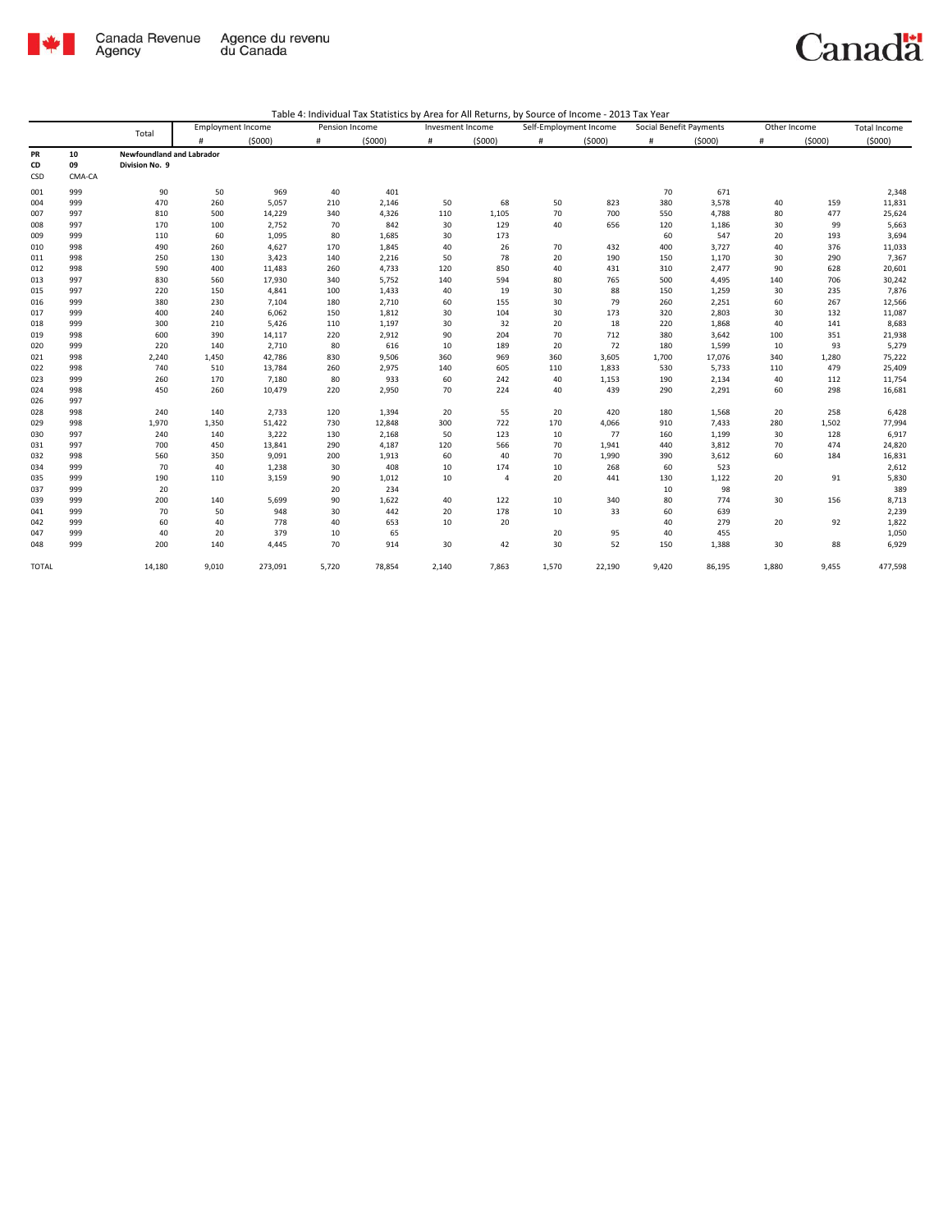

|              |        |                                  |       | <b>Employment Income</b> | Pension Income |        | Invesment Income |                |       | Self-Employment Income | Social Benefit Payments |        | Other Income |        | Total Income |
|--------------|--------|----------------------------------|-------|--------------------------|----------------|--------|------------------|----------------|-------|------------------------|-------------------------|--------|--------------|--------|--------------|
|              |        | Total                            | #     | (5000)                   | #              | (5000) | $\#$             | (5000)         | #     | (5000)                 | #                       | (5000) | $\#$         | (5000) | (5000)       |
| PR           | 10     | <b>Newfoundland and Labrador</b> |       |                          |                |        |                  |                |       |                        |                         |        |              |        |              |
| CD           | 09     | Division No. 9                   |       |                          |                |        |                  |                |       |                        |                         |        |              |        |              |
| CSD          | CMA-CA |                                  |       |                          |                |        |                  |                |       |                        |                         |        |              |        |              |
| 001          | 999    | 90                               | 50    | 969                      | 40             | 401    |                  |                |       |                        | 70                      | 671    |              |        | 2,348        |
| 004          | 999    | 470                              | 260   | 5,057                    | 210            | 2,146  | 50               | 68             | 50    | 823                    | 380                     | 3,578  | 40           | 159    | 11,831       |
| 007          | 997    | 810                              | 500   | 14,229                   | 340            | 4,326  | 110              | 1,105          | 70    | 700                    | 550                     | 4,788  | 80           | 477    | 25,624       |
| 008          | 997    | 170                              | 100   | 2,752                    | 70             | 842    | 30               | 129            | 40    | 656                    | 120                     | 1,186  | 30           | 99     | 5,663        |
| 009          | 999    | 110                              | 60    | 1,095                    | 80             | 1,685  | 30               | 173            |       |                        | 60                      | 547    | 20           | 193    | 3,694        |
| 010          | 998    | 490                              | 260   | 4,627                    | 170            | 1,845  | 40               | 26             | 70    | 432                    | 400                     | 3,727  | 40           | 376    | 11,033       |
| 011          | 998    | 250                              | 130   | 3,423                    | 140            | 2,216  | 50               | 78             | 20    | 190                    | 150                     | 1,170  | 30           | 290    | 7,367        |
| 012          | 998    | 590                              | 400   | 11,483                   | 260            | 4,733  | 120              | 850            | 40    | 431                    | 310                     | 2,477  | 90           | 628    | 20,601       |
| 013          | 997    | 830                              | 560   | 17,930                   | 340            | 5,752  | 140              | 594            | 80    | 765                    | 500                     | 4,495  | 140          | 706    | 30,242       |
| 015          | 997    | 220                              | 150   | 4,841                    | 100            | 1,433  | 40               | 19             | 30    | 88                     | 150                     | 1,259  | 30           | 235    | 7,876        |
| 016          | 999    | 380                              | 230   | 7,104                    | 180            | 2,710  | 60               | 155            | 30    | 79                     | 260                     | 2,251  | 60           | 267    | 12,566       |
| 017          | 999    | 400                              | 240   | 6,062                    | 150            | 1,812  | 30               | 104            | 30    | 173                    | 320                     | 2,803  | 30           | 132    | 11,087       |
| 018          | 999    | 300                              | 210   | 5,426                    | 110            | 1,197  | 30               | 32             | 20    | 18                     | 220                     | 1,868  | 40           | 141    | 8,683        |
| 019          | 998    | 600                              | 390   | 14,117                   | 220            | 2,912  | 90               | 204            | 70    | 712                    | 380                     | 3,642  | 100          | 351    | 21,938       |
| 020          | 999    | 220                              | 140   | 2,710                    | 80             | 616    | 10               | 189            | 20    | 72                     | 180                     | 1,599  | 10           | 93     | 5,279        |
| 021          | 998    | 2,240                            | 1,450 | 42,786                   | 830            | 9,506  | 360              | 969            | 360   | 3,605                  | 1,700                   | 17,076 | 340          | 1,280  | 75,222       |
| 022          | 998    | 740                              | 510   | 13,784                   | 260            | 2,975  | 140              | 605            | 110   | 1,833                  | 530                     | 5,733  | 110          | 479    | 25,409       |
| 023          | 999    | 260                              | 170   | 7,180                    | 80             | 933    | 60               | 242            | 40    | 1,153                  | 190                     | 2,134  | 40           | 112    | 11,754       |
| 024          | 998    | 450                              | 260   | 10,479                   | 220            | 2,950  | 70               | 224            | 40    | 439                    | 290                     | 2,291  | 60           | 298    | 16,681       |
| 026          | 997    |                                  |       |                          |                |        |                  |                |       |                        |                         |        |              |        |              |
| 028          | 998    | 240                              | 140   | 2,733                    | 120            | 1,394  | 20               | 55             | 20    | 420                    | 180                     | 1,568  | 20           | 258    | 6,428        |
| 029          | 998    | 1,970                            | 1,350 | 51,422                   | 730            | 12,848 | 300              | 722            | 170   | 4,066                  | 910                     | 7,433  | 280          | 1,502  | 77,994       |
| 030          | 997    | 240                              | 140   | 3,222                    | 130            | 2,168  | 50               | 123            | 10    | 77                     | 160                     | 1,199  | 30           | 128    | 6,917        |
| 031          | 997    | 700                              | 450   | 13,841                   | 290            | 4,187  | 120              | 566            | 70    | 1,941                  | 440                     | 3,812  | 70           | 474    | 24,820       |
| 032          | 998    | 560                              | 350   | 9,091                    | 200            | 1,913  | 60               | 40             | 70    | 1,990                  | 390                     | 3,612  | 60           | 184    | 16,831       |
| 034          | 999    | 70                               | 40    | 1,238                    | 30             | 408    | 10               | 174            | 10    | 268                    | 60                      | 523    |              |        | 2,612        |
| 035          | 999    | 190                              | 110   | 3,159                    | 90             | 1,012  | 10               | $\overline{4}$ | 20    | 441                    | 130                     | 1,122  | 20           | 91     | 5,830        |
| 037          | 999    | 20                               |       |                          | 20             | 234    |                  |                |       |                        | 10                      | 98     |              |        | 389          |
| 039          | 999    | 200                              | 140   | 5,699                    | 90             | 1,622  | 40               | 122            | 10    | 340                    | 80                      | 774    | 30           | 156    | 8,713        |
| 041          | 999    | 70                               | 50    | 948                      | 30             | 442    | 20               | 178            | 10    | 33                     | 60                      | 639    |              |        | 2,239        |
| 042          | 999    | 60                               | 40    | 778                      | 40             | 653    | 10               | 20             |       |                        | 40                      | 279    | 20           | 92     | 1,822        |
| 047          | 999    | 40                               | 20    | 379                      | 10             | 65     |                  |                | 20    | 95                     | 40                      | 455    |              |        | 1,050        |
| 048          | 999    | 200                              | 140   | 4,445                    | 70             | 914    | 30               | 42             | 30    | 52                     | 150                     | 1,388  | 30           | 88     | 6,929        |
| <b>TOTAL</b> |        | 14,180                           | 9,010 | 273,091                  | 5,720          | 78,854 | 2,140            | 7,863          | 1.570 | 22,190                 | 9,420                   | 86,195 | 1.880        | 9.455  | 477,598      |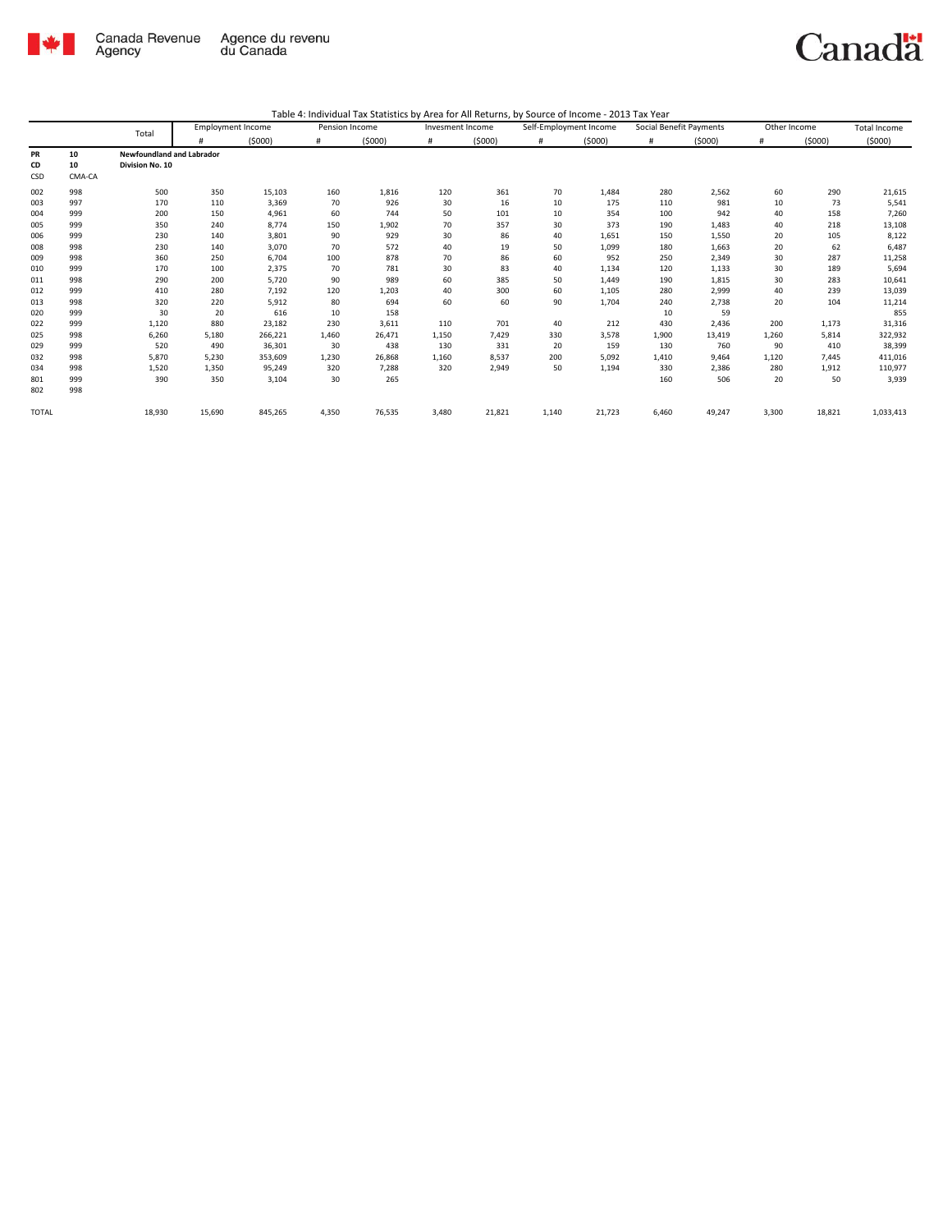

|              |        | Total                            | <b>Employment Income</b> |         |       | Pension Income |       | Invesment Income | Self-Employment Income |        | Social Benefit Payments |        | Other Income |        | <b>Total Income</b> |
|--------------|--------|----------------------------------|--------------------------|---------|-------|----------------|-------|------------------|------------------------|--------|-------------------------|--------|--------------|--------|---------------------|
|              |        |                                  |                          | (5000)  | #     | (5000)         | #     | (5000)           | #                      | (5000) | #                       | (5000) | #            | (5000) | (5000)              |
| <b>PR</b>    | 10     | <b>Newfoundland and Labrador</b> |                          |         |       |                |       |                  |                        |        |                         |        |              |        |                     |
| CD           | 10     | Division No. 10                  |                          |         |       |                |       |                  |                        |        |                         |        |              |        |                     |
| CSD          | CMA-CA |                                  |                          |         |       |                |       |                  |                        |        |                         |        |              |        |                     |
| 002          | 998    | 500                              | 350                      | 15,103  | 160   | 1,816          | 120   | 361              | 70                     | 1,484  | 280                     | 2,562  | 60           | 290    | 21,615              |
| 003          | 997    | 170                              | 110                      | 3,369   | 70    | 926            | 30    | 16               | 10                     | 175    | 110                     | 981    | 10           | 73     | 5,541               |
| 004          | 999    | 200                              | 150                      | 4,961   | 60    | 744            | 50    | 101              | 10                     | 354    | 100                     | 942    | 40           | 158    | 7,260               |
| 005          | 999    | 350                              | 240                      | 8,774   | 150   | 1,902          | 70    | 357              | 30                     | 373    | 190                     | 1,483  | 40           | 218    | 13,108              |
| 006          | 999    | 230                              | 140                      | 3,801   | 90    | 929            | 30    | 86               | 40                     | 1,651  | 150                     | 1,550  | 20           | 105    | 8,122               |
| 008          | 998    | 230                              | 140                      | 3,070   | 70    | 572            | 40    | 19               | 50                     | 1,099  | 180                     | 1,663  | 20           | 62     | 6,487               |
| 009          | 998    | 360                              | 250                      | 6,704   | 100   | 878            | 70    | 86               | 60                     | 952    | 250                     | 2,349  | 30           | 287    | 11,258              |
| 010          | 999    | 170                              | 100                      | 2,375   | 70    | 781            | 30    | 83               | 40                     | 1,134  | 120                     | 1,133  | 30           | 189    | 5,694               |
| 011          | 998    | 290                              | 200                      | 5,720   | 90    | 989            | 60    | 385              | 50                     | 1,449  | 190                     | 1,815  | 30           | 283    | 10,641              |
| 012          | 999    | 410                              | 280                      | 7,192   | 120   | 1,203          | 40    | 300              | 60                     | 1,105  | 280                     | 2,999  | 40           | 239    | 13,039              |
| 013          | 998    | 320                              | 220                      | 5,912   | 80    | 694            | 60    | 60               | 90                     | 1,704  | 240                     | 2,738  | 20           | 104    | 11,214              |
| 020          | 999    | 30                               | 20                       | 616     | 10    | 158            |       |                  |                        |        | 10                      | 59     |              |        | 855                 |
| 022          | 999    | 1,120                            | 880                      | 23,182  | 230   | 3,611          | 110   | 701              | 40                     | 212    | 430                     | 2,436  | 200          | 1,173  | 31,316              |
| 025          | 998    | 6,260                            | 5,180                    | 266,221 | 1,460 | 26,471         | 1,150 | 7,429            | 330                    | 3,578  | 1,900                   | 13,419 | 1,260        | 5,814  | 322,932             |
| 029          | 999    | 520                              | 490                      | 36,301  | 30    | 438            | 130   | 331              | 20                     | 159    | 130                     | 760    | 90           | 410    | 38,399              |
| 032          | 998    | 5,870                            | 5,230                    | 353,609 | 1,230 | 26,868         | 1,160 | 8,537            | 200                    | 5,092  | 1,410                   | 9,464  | 1,120        | 7,445  | 411,016             |
| 034          | 998    | 1,520                            | 1,350                    | 95,249  | 320   | 7,288          | 320   | 2,949            | 50                     | 1,194  | 330                     | 2,386  | 280          | 1,912  | 110,977             |
| 801          | 999    | 390                              | 350                      | 3,104   | 30    | 265            |       |                  |                        |        | 160                     | 506    | 20           | 50     | 3,939               |
| 802          | 998    |                                  |                          |         |       |                |       |                  |                        |        |                         |        |              |        |                     |
| <b>TOTAL</b> |        | 18,930                           | 15,690                   | 845,265 | 4,350 | 76,535         | 3,480 | 21,821           | 1,140                  | 21,723 | 6,460                   | 49,247 | 3,300        | 18,821 | 1,033,413           |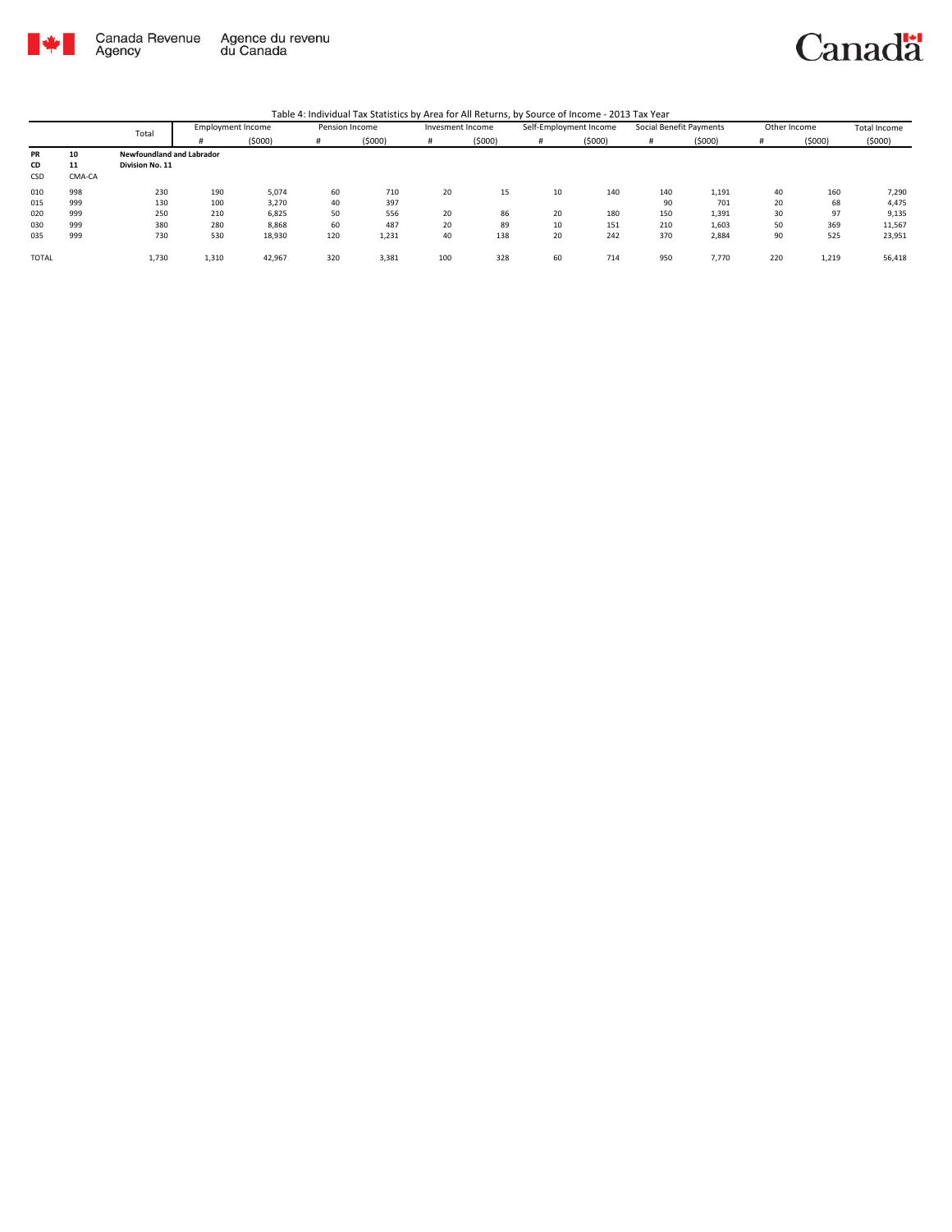

Canada Revenue<br>Agency Agence du revenu<br>du Canada

### Canadä

|              |        |                                  | <b>Employment Income</b><br>Total |        |     | Pension Income |     | Invesment Income |    | Self-Employment Income |     | Social Benefit Payments | Other Income |        | Total Income |
|--------------|--------|----------------------------------|-----------------------------------|--------|-----|----------------|-----|------------------|----|------------------------|-----|-------------------------|--------------|--------|--------------|
|              |        |                                  |                                   | (5000) | #   | (5000)         |     | (5000)           | #  | (5000)                 |     | (5000)                  |              | (5000) | (5000)       |
| PR           | 10     | <b>Newfoundland and Labrador</b> |                                   |        |     |                |     |                  |    |                        |     |                         |              |        |              |
| CD           | 11     | Division No. 11                  |                                   |        |     |                |     |                  |    |                        |     |                         |              |        |              |
| CSD          | CMA-CA |                                  |                                   |        |     |                |     |                  |    |                        |     |                         |              |        |              |
| 010          | 998    | 230                              | 190                               | 5,074  | 60  | 710            | 20  | 15               | 10 | 140                    | 140 | 1,191                   | 40           | 160    | 7,290        |
| 015          | 999    | 130                              | 100                               | 3,270  | 40  | 397            |     |                  |    |                        | 90  | 701                     | 20           | 68     | 4,475        |
| 020          | 999    | 250                              | 210                               | 6,825  | 50  | 556            | 20  | 86               | 20 | 180                    | 150 | 1,391                   | 30           | 97     | 9,135        |
| 030          | 999    | 380                              | 280                               | 8,868  | 60  | 487            | 20  | 89               | 10 | 151                    | 210 | 1,603                   | 50           | 369    | 11,567       |
| 035          | 999    | 730                              | 530                               | 18,930 | 120 | 1,231          | 40  | 138              | 20 | 242                    | 370 | 2,884                   | 90           | 525    | 23,951       |
| <b>TOTAL</b> |        | 1,730                            | 1,310                             | 42,967 | 320 | 3,381          | 100 | 328              | 60 | 714                    | 950 | 7.770                   | 220          | 1,219  | 56,418       |